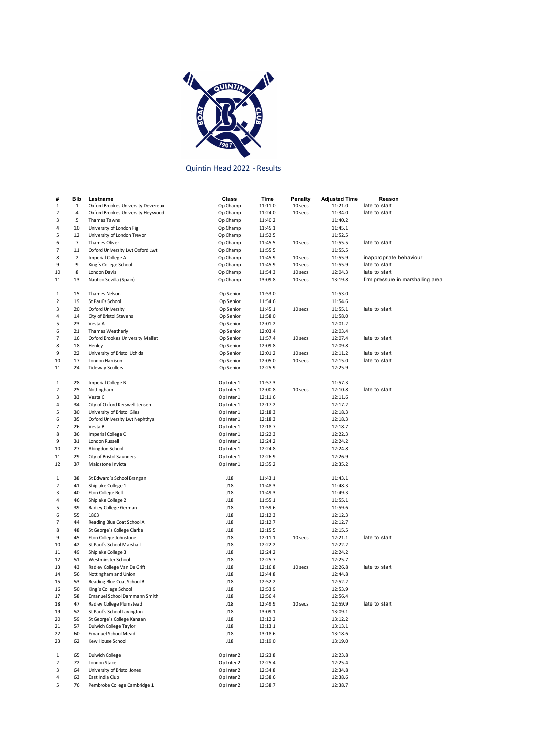

## Quintin Head 2022 - Results

| #            | Bib            | Lastname                            | Class      | Time    | Penalty | <b>Adjusted Time</b> | Reason                            |
|--------------|----------------|-------------------------------------|------------|---------|---------|----------------------|-----------------------------------|
| $\mathbf{1}$ | $\mathbf{1}$   | Oxford Brookes University Devereux  | Op Champ   | 11:11.0 | 10 secs | 11:21.0              | late to start                     |
| 2            | 4              | Oxford Brookes University Heywood   | Op Champ   | 11:24.0 | 10 secs | 11:34.0              | late to start                     |
| 3            | 5              | Thames Tawns                        | Op Champ   | 11:40.2 |         | 11:40.2              |                                   |
| 4            | 10             | University of London Figi           | Op Champ   | 11:45.1 |         | 11:45.1              |                                   |
| 5            | 12             | University of London Trevor         | Op Champ   | 11:52.5 |         | 11:52.5              |                                   |
| 6            | $\overline{7}$ | Thames Oliver                       | Op Champ   | 11:45.5 | 10 secs | 11:55.5              | late to start                     |
| 7            | 11             | Oxford University Lwt Oxford Lwt    | Op Champ   | 11:55.5 |         | 11:55.5              |                                   |
| 8            | 2              | Imperial College A                  | Op Champ   | 11:45.9 | 10 secs | 11:55.9              | inappropriate behaviour           |
| 9            | 9              | King's College School               | Op Champ   | 11:45.9 | 10 secs | 11:55.9              | late to start                     |
| 10           | 8              | London Davis                        | Op Champ   | 11:54.3 | 10 secs | 12:04.3              | late to start                     |
| 11           | 13             | Nautico Sevilla (Spain)             | Op Champ   | 13:09.8 | 10 secs | 13:19.8              | firm pressure in marshalling area |
|              |                |                                     |            |         |         |                      |                                   |
| 1            | 15             | Thames Nelson                       | Op Senior  | 11:53.0 |         | 11:53.0              |                                   |
| 2            | 19             | St Paul's School                    | Op Senior  | 11:54.6 |         | 11:54.6              |                                   |
| 3            | 20             | Oxford University                   | Op Senior  | 11:45.1 | 10 secs | 11:55.1              | late to start                     |
| 4            | 14             | City of Bristol Stevens             | Op Senior  | 11:58.0 |         | 11:58.0              |                                   |
| 5            | 23             | Vesta A                             | Op Senior  | 12:01.2 |         | 12:01.2              |                                   |
| 6            | 21             | Thames Weatherly                    | Op Senior  | 12:03.4 |         | 12:03.4              |                                   |
| 7            | 16             | Oxford Brookes University Mallet    | Op Senior  | 11:57.4 | 10 secs | 12:07.4              | late to start                     |
| 8            | 18             | Henley                              | Op Senior  | 12:09.8 |         | 12:09.8              |                                   |
| 9            | 22             | University of Bristol Uchida        | Op Senior  | 12:01.2 | 10 secs | 12:11.2              | late to start                     |
| 10           | 17             | London Harrison                     | Op Senior  | 12:05.0 | 10 secs | 12:15.0              | late to start                     |
|              |                |                                     |            |         |         |                      |                                   |
| 11           | 24             | <b>Tideway Scullers</b>             | Op Senior  | 12:25.9 |         | 12:25.9              |                                   |
| 1            | 28             | Imperial College B                  | Op Inter 1 | 11:57.3 |         | 11:57.3              |                                   |
| 2            | 25             | Nottingham                          | Op Inter 1 | 12:00.8 | 10 secs | 12:10.8              | late to start                     |
|              | 33             | Vesta C                             |            |         |         | 12:11.6              |                                   |
| 3            |                |                                     | Op Inter 1 | 12:11.6 |         |                      |                                   |
| 4            | 34             | City of Oxford Kerswell-Jensen      | Op Inter 1 | 12:17.2 |         | 12:17.2              |                                   |
| 5            | 30             | University of Bristol Giles         | Op Inter 1 | 12:18.3 |         | 12:18.3              |                                   |
| 6            | 35             | Oxford University Lwt Nephthys      | Op Inter 1 | 12:18.3 |         | 12:18.3              |                                   |
| 7            | 26             | Vesta B                             | Op Inter 1 | 12:18.7 |         | 12:18.7              |                                   |
| 8            | 36             | Imperial College C                  | Op Inter 1 | 12:22.3 |         | 12:22.3              |                                   |
| 9            | 31             | London Russell                      | Op Inter 1 | 12:24.2 |         | 12:24.2              |                                   |
| 10           | 27             | Abingdon School                     | Op Inter 1 | 12:24.8 |         | 12:24.8              |                                   |
| 11           | 29             | City of Bristol Saunders            | Op Inter 1 | 12:26.9 |         | 12:26.9              |                                   |
| 12           | 37             | Maidstone Invicta                   | Op Inter 1 | 12:35.2 |         | 12:35.2              |                                   |
|              |                |                                     |            |         |         |                      |                                   |
| 1            | 38             | St Edward's School Brangan          | J18        | 11:43.1 |         | 11:43.1              |                                   |
| 2            | 41             | Shiplake College 1                  | J18        | 11:48.3 |         | 11:48.3              |                                   |
| 3            | 40             | Eton College Bell                   | J18        | 11:49.3 |         | 11:49.3              |                                   |
| 4            | 46             | Shiplake College 2                  | J18        | 11:55.1 |         | 11:55.1              |                                   |
| 5            | 39             | Radley College German               | J18        | 11:59.6 |         | 11:59.6              |                                   |
| 6            | 55             | 1863                                | J18        | 12:12.3 |         | 12:12.3              |                                   |
| 7            | 44             | Reading Blue Coat School A          | J18        | 12:12.7 |         | 12:12.7              |                                   |
| 8            | 48             | St George's College Clarke          | J18        | 12:15.5 |         | 12:15.5              |                                   |
| 9            | 45             | Eton College Johnstone              | J18        | 12:11.1 | 10 secs | 12:21.1              | late to start                     |
| 10           | 42             | St Paul's School Marshall           | J18        | 12:22.2 |         | 12:22.2              |                                   |
| 11           | 49             | Shiplake College 3                  | J18        | 12:24.2 |         | 12:24.2              |                                   |
| 12           | 51             | Westminster School                  | J18        | 12:25.7 |         | 12:25.7              |                                   |
| 13           | 43             | Radley College Van De Grift         | J18        | 12:16.8 | 10 secs | 12:26.8              | late to start                     |
| 14           | 56             | Nottingham and Union                | J18        | 12:44.8 |         | 12:44.8              |                                   |
| 15           | 53             | Reading Blue Coat School B          | J18        | 12:52.2 |         | 12:52.2              |                                   |
| 16           | 50             | King's College School               | J18        | 12:53.9 |         | 12:53.9              |                                   |
| 17           | 58             | <b>Emanuel School Dammann Smith</b> | 118        | 12:56.4 |         | 12:56.4              |                                   |
| 18           | 47             | Radley College Plumstead            | J18        | 12:49.9 | 10 secs | 12:59.9              | late to start                     |
| 19           | 52             | St Paul's School Lavington          | J18        | 13:09.1 |         | 13:09.1              |                                   |
| 20           | 59             | St George's College Kanaan          | J18        | 13:12.2 |         | 13:12.2              |                                   |
| 21           | 57             | Dulwich College Taylor              | J18        | 13:13.1 |         | 13:13.1              |                                   |
| 22           | 60             | <b>Emanuel School Mead</b>          | J18        | 13:18.6 |         | 13:18.6              |                                   |
| 23           | 62             | Kew House School                    | J18        | 13:19.0 |         | 13:19.0              |                                   |
|              |                |                                     |            |         |         |                      |                                   |
| 1            | 65             | Dulwich College                     | Op Inter 2 | 12:23.8 |         | 12:23.8              |                                   |
| 2            | 72             | London Stace                        | Op Inter 2 | 12:25.4 |         | 12:25.4              |                                   |
| 3            | 64             | University of Bristol Jones         | Op Inter 2 | 12:34.8 |         | 12:34.8              |                                   |
| 4            | 63             | East India Club                     | Op Inter 2 | 12:38.6 |         | 12:38.6              |                                   |
| 5            | 76             | Pembroke College Cambridge 1        | Op Inter 2 | 12:38.7 |         | 12:38.7              |                                   |
|              |                |                                     |            |         |         |                      |                                   |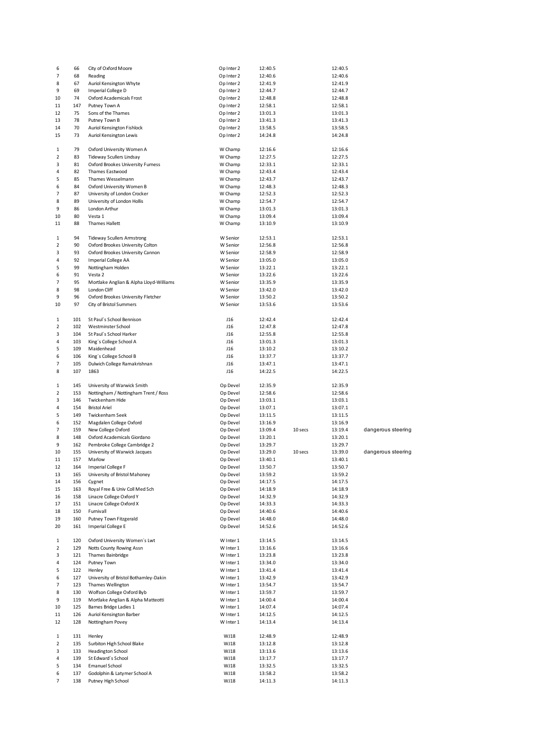| 7<br>Reading<br>Op Inter 2<br>68<br>12:40.6<br>12:40.6<br>Auriol Kensington Whyte<br>Op Inter 2<br>12:41.9<br>12:41.9<br>8<br>67<br>9<br>Imperial College D<br>Op Inter 2<br>69<br>12:44.7<br>12:44.7<br>74<br>Oxford Academicals Frost<br>Op Inter 2<br>12:48.8<br>12:48.8<br>10<br>147<br>Putney Town A<br>Op Inter 2<br>12:58.1<br>12:58.1<br>11<br>75<br>Sons of the Thames<br>Op Inter 2<br>13:01.3<br>13:01.3<br>12<br>78<br>Putney Town B<br>Op Inter 2<br>13:41.3<br>13:41.3<br>13<br>70<br>Auriol Kensington Fishlock<br>Op Inter 2<br>14<br>13:58.5<br>13:58.5<br>73<br>Auriol Kensington Lewis<br>Op Inter 2<br>14:24.8<br>14:24.8<br>15<br>79<br>Oxford University Women A<br>1<br>W Champ<br>12:16.6<br>12:16.6<br>2<br>83<br><b>Tideway Scullers Lindsay</b><br>W Champ<br>12:27.5<br>12:27.5<br>81<br>Oxford Brookes University Furness<br>W Champ<br>12:33.1<br>12:33.1<br>3<br>4<br>82<br><b>Thames Eastwood</b><br>W Champ<br>12:43.4<br>12:43.4<br>5<br>85<br>Thames Wesselmann<br>W Champ<br>12:43.7<br>12:43.7<br>84<br>Oxford University Women B<br>12:48.3<br>6<br>W Champ<br>12:48.3<br>87<br>University of London Crocker<br>7<br>W Champ<br>12:52.3<br>12:52.3<br>89<br>University of London Hollis<br>W Champ<br>12:54.7<br>12:54.7<br>8<br>9<br>86<br>London Arthur<br>W Champ<br>13:01.3<br>13:01.3<br>80<br>Vesta 1<br>13:09.4<br>13:09.4<br>10<br>W Champ<br>Thames Hallett<br>11<br>88<br>W Champ<br>13:10.9<br>13:10.9<br>94<br><b>Tideway Scullers Armstrong</b><br>W Senior<br>12:53.1<br>12:53.1<br>1<br>90<br>Oxford Brookes University Colton<br>2<br>W Senior<br>12:56.8<br>12:56.8<br>93<br>Oxford Brookes University Cannon<br>12:58.9<br>12:58.9<br>3<br>W Senior<br>92<br>Imperial College AA<br>4<br>W Senior<br>13:05.0<br>13:05.0<br>5<br>99<br>Nottingham Holden<br>W Senior<br>13:22.1<br>13:22.1<br>91<br>Vesta 2<br>6<br>W Senior<br>13:22.6<br>13:22.6<br>95<br>Mortlake Anglian & Alpha Lloyd-Williams<br>W Senior<br>13:35.9<br>13:35.9<br>7<br>98<br>London Cliff<br>8<br>W Senior<br>13:42.0<br>13:42.0<br>9<br>96<br>Oxford Brookes University Fletcher<br>13:50.2<br>13:50.2<br>W Senior<br>City of Bristol Summers<br>10<br>97<br>W Senior<br>13:53.6<br>13:53.6<br>1<br>101<br>St Paul's School Bennison<br>J16<br>12:42.4<br>12:42.4<br>2<br>102<br>Westminster School<br>J16<br>12:47.8<br>12:47.8<br>з<br>104<br>St Paul's School Harker<br>J16<br>12:55.8<br>12:55.8<br>103<br>King's College School A<br>J16<br>13:01.3<br>13:01.3<br>4<br>5<br>109<br>Maidenhead<br>J16<br>13:10.2<br>13:10.2<br>106<br>King's College School B<br>J16<br>6<br>13:37.7<br>13:37.7<br>105<br>Dulwich College Ramakrishnan<br>J16<br>13:47.1<br>7<br>13:47.1<br>107<br>1863<br>J16<br>14:22.5<br>8<br>14:22.5<br>145<br>University of Warwick Smith<br>Op Devel<br>12:35.9<br>12:35.9<br>1<br>153<br>Nottingham / Nottingham Trent / Ross<br>Op Devel<br>12:58.6<br>12:58.6<br>2<br>146<br>Twickenham Hide<br>Op Devel<br>13:03.1<br>13:03.1<br>3<br>4<br>154<br><b>Bristol Ariel</b><br>Op Devel<br>13:07.1<br>13:07.1<br>5<br>149<br>Twickenham Seek<br>Op Devel<br>13:11.5<br>13:11.5<br>152<br>Magdalen College Oxford<br>Op Devel<br>13:16.9<br>6<br>13:16.9<br>7<br>159<br>New College Oxford<br>Op Devel<br>13:09.4<br>10 secs<br>13:19.4<br>148<br>Oxford Academicals Giordano<br>Op Devel<br>8<br>13:20.1<br>13:20.1<br>9<br>162<br>Pembroke College Cambridge 2<br>Op Devel<br>13:29.7<br>13:29.7<br>155<br>University of Warwick Jacques<br>10<br>Op Devel<br>13:29.0<br>10 secs<br>13:39.0<br>157<br>Marlow<br>Op Devel<br>13:40.1<br>13:40.1<br>11<br>Imperial College F<br>13:50.7<br>12<br>164<br>Op Devel<br>13:50.7<br>13<br>University of Bristol Mahoney<br>Op Devel<br>13:59.2<br>13:59.2<br>165<br>Cygnet<br>Op Devel<br>14:17.5<br>14:17.5<br>14<br>156<br>Royal Free & Univ Coll Med Sch<br>15<br>163<br>Op Devel<br>14:18.9<br>14:18.9<br>158<br>Linacre College Oxford Y<br>Op Devel<br>14:32.9<br>14:32.9<br>16<br>Linacre College Oxford X<br>17<br>151<br>Op Devel<br>14:33.3<br>14:33.3<br>150<br>Furnivall<br>Op Devel<br>18<br>14:40.6<br>14:40.6<br>19<br>160<br>Putney Town Fitzgerald<br>Op Devel<br>14:48.0<br>14:48.0<br><b>Imperial College E</b><br>161<br>Op Devel<br>14:52.6<br>20<br>14:52.6<br>120<br>Oxford University Women's Lwt<br>W Inter 1<br>13:14.5<br>13:14.5<br>1<br>2<br>129<br>Notts County Rowing Assn<br>W Inter 1<br>13:16.6<br>13:16.6<br>121<br>Thames Bainbridge<br>W Inter 1<br>3<br>13:23.8<br>13:23.8<br>Putney Town<br>W Inter 1<br>13:34.0<br>13:34.0<br>4<br>124<br>122<br>Henley<br>W Inter 1<br>13:41.4<br>13:41.4<br>5<br>127<br>University of Bristol Bothamley-Dakin<br>W Inter 1<br>13:42.9<br>13:42.9<br>6<br>Thames Wellington<br>7<br>123<br>W Inter 1<br>13:54.7<br>13:54.7<br>130<br>Wolfson College Oxford Byb<br>W Inter 1<br>13:59.7<br>13:59.7<br>8<br>Mortlake Anglian & Alpha Matteotti<br>9<br>119<br>W Inter 1<br>14:00.4<br>14:00.4<br>10<br>125<br>Barnes Bridge Ladies 1<br>W Inter 1<br>14:07.4<br>14:07.4<br>Auriol Kensington Barber<br>126<br>W Inter 1<br>14:12.5<br>11<br>14:12.5<br>128<br>Nottingham Povey<br>W Inter 1<br>14:13.4<br>14:13.4<br>12<br>131<br>Henley<br>WJ18<br>12:48.9<br>1<br>12:48.9<br>135<br>Surbiton High School Blake<br>WJ18<br>13:12.8<br>13:12.8<br>2<br>133<br>Headington School<br>WJ18<br>3<br>13:13.6<br>13:13.6<br>4<br>139<br>St Edward's School<br>WJ18<br>13:17.7<br>13:17.7<br>134<br><b>Emanuel School</b><br>WJ18<br>5<br>13:32.5<br>13:32.5<br>137<br>Godolphin & Latymer School A<br>WJ18<br>13:58.2<br>13:58.2<br>6<br>Putney High School<br>WJ18<br>138<br>14:11.3<br>14:11.3<br>7 | 6 | 66 | City of Oxford Moore | Op Inter 2 | 12:40.5 | 12:40.5 |                    |
|----------------------------------------------------------------------------------------------------------------------------------------------------------------------------------------------------------------------------------------------------------------------------------------------------------------------------------------------------------------------------------------------------------------------------------------------------------------------------------------------------------------------------------------------------------------------------------------------------------------------------------------------------------------------------------------------------------------------------------------------------------------------------------------------------------------------------------------------------------------------------------------------------------------------------------------------------------------------------------------------------------------------------------------------------------------------------------------------------------------------------------------------------------------------------------------------------------------------------------------------------------------------------------------------------------------------------------------------------------------------------------------------------------------------------------------------------------------------------------------------------------------------------------------------------------------------------------------------------------------------------------------------------------------------------------------------------------------------------------------------------------------------------------------------------------------------------------------------------------------------------------------------------------------------------------------------------------------------------------------------------------------------------------------------------------------------------------------------------------------------------------------------------------------------------------------------------------------------------------------------------------------------------------------------------------------------------------------------------------------------------------------------------------------------------------------------------------------------------------------------------------------------------------------------------------------------------------------------------------------------------------------------------------------------------------------------------------------------------------------------------------------------------------------------------------------------------------------------------------------------------------------------------------------------------------------------------------------------------------------------------------------------------------------------------------------------------------------------------------------------------------------------------------------------------------------------------------------------------------------------------------------------------------------------------------------------------------------------------------------------------------------------------------------------------------------------------------------------------------------------------------------------------------------------------------------------------------------------------------------------------------------------------------------------------------------------------------------------------------------------------------------------------------------------------------------------------------------------------------------------------------------------------------------------------------------------------------------------------------------------------------------------------------------------------------------------------------------------------------------------------------------------------------------------------------------------------------------------------------------------------------------------------------------------------------------------------------------------------------------------------------------------------------------------------------------------------------------------------------------------------------------------------------------------------------------------------------------------------------------------------------------------------------------------------------------------------------------------------------------------------------------------------------------------------------------------------------------------------------------------------------------------------------------------------------------------------------------------------------------------------------------------------------------------------------------------------------------------------------------------------------------------------------------------------------------------------------------------------------------------------------------------------------------------------------------------------------------------------------------------------------------------------------------------------------------------------------------------------------------------------------------------------------------------------------------------------------------------------------------------------------------------------------------------------|---|----|----------------------|------------|---------|---------|--------------------|
|                                                                                                                                                                                                                                                                                                                                                                                                                                                                                                                                                                                                                                                                                                                                                                                                                                                                                                                                                                                                                                                                                                                                                                                                                                                                                                                                                                                                                                                                                                                                                                                                                                                                                                                                                                                                                                                                                                                                                                                                                                                                                                                                                                                                                                                                                                                                                                                                                                                                                                                                                                                                                                                                                                                                                                                                                                                                                                                                                                                                                                                                                                                                                                                                                                                                                                                                                                                                                                                                                                                                                                                                                                                                                                                                                                                                                                                                                                                                                                                                                                                                                                                                                                                                                                                                                                                                                                                                                                                                                                                                                                                                                                                                                                                                                                                                                                                                                                                                                                                                                                                                                                                                                                                                                                                                                                                                                                                                                                                                                                                                                                                                                                                                            |   |    |                      |            |         |         |                    |
|                                                                                                                                                                                                                                                                                                                                                                                                                                                                                                                                                                                                                                                                                                                                                                                                                                                                                                                                                                                                                                                                                                                                                                                                                                                                                                                                                                                                                                                                                                                                                                                                                                                                                                                                                                                                                                                                                                                                                                                                                                                                                                                                                                                                                                                                                                                                                                                                                                                                                                                                                                                                                                                                                                                                                                                                                                                                                                                                                                                                                                                                                                                                                                                                                                                                                                                                                                                                                                                                                                                                                                                                                                                                                                                                                                                                                                                                                                                                                                                                                                                                                                                                                                                                                                                                                                                                                                                                                                                                                                                                                                                                                                                                                                                                                                                                                                                                                                                                                                                                                                                                                                                                                                                                                                                                                                                                                                                                                                                                                                                                                                                                                                                                            |   |    |                      |            |         |         |                    |
|                                                                                                                                                                                                                                                                                                                                                                                                                                                                                                                                                                                                                                                                                                                                                                                                                                                                                                                                                                                                                                                                                                                                                                                                                                                                                                                                                                                                                                                                                                                                                                                                                                                                                                                                                                                                                                                                                                                                                                                                                                                                                                                                                                                                                                                                                                                                                                                                                                                                                                                                                                                                                                                                                                                                                                                                                                                                                                                                                                                                                                                                                                                                                                                                                                                                                                                                                                                                                                                                                                                                                                                                                                                                                                                                                                                                                                                                                                                                                                                                                                                                                                                                                                                                                                                                                                                                                                                                                                                                                                                                                                                                                                                                                                                                                                                                                                                                                                                                                                                                                                                                                                                                                                                                                                                                                                                                                                                                                                                                                                                                                                                                                                                                            |   |    |                      |            |         |         |                    |
|                                                                                                                                                                                                                                                                                                                                                                                                                                                                                                                                                                                                                                                                                                                                                                                                                                                                                                                                                                                                                                                                                                                                                                                                                                                                                                                                                                                                                                                                                                                                                                                                                                                                                                                                                                                                                                                                                                                                                                                                                                                                                                                                                                                                                                                                                                                                                                                                                                                                                                                                                                                                                                                                                                                                                                                                                                                                                                                                                                                                                                                                                                                                                                                                                                                                                                                                                                                                                                                                                                                                                                                                                                                                                                                                                                                                                                                                                                                                                                                                                                                                                                                                                                                                                                                                                                                                                                                                                                                                                                                                                                                                                                                                                                                                                                                                                                                                                                                                                                                                                                                                                                                                                                                                                                                                                                                                                                                                                                                                                                                                                                                                                                                                            |   |    |                      |            |         |         |                    |
|                                                                                                                                                                                                                                                                                                                                                                                                                                                                                                                                                                                                                                                                                                                                                                                                                                                                                                                                                                                                                                                                                                                                                                                                                                                                                                                                                                                                                                                                                                                                                                                                                                                                                                                                                                                                                                                                                                                                                                                                                                                                                                                                                                                                                                                                                                                                                                                                                                                                                                                                                                                                                                                                                                                                                                                                                                                                                                                                                                                                                                                                                                                                                                                                                                                                                                                                                                                                                                                                                                                                                                                                                                                                                                                                                                                                                                                                                                                                                                                                                                                                                                                                                                                                                                                                                                                                                                                                                                                                                                                                                                                                                                                                                                                                                                                                                                                                                                                                                                                                                                                                                                                                                                                                                                                                                                                                                                                                                                                                                                                                                                                                                                                                            |   |    |                      |            |         |         |                    |
|                                                                                                                                                                                                                                                                                                                                                                                                                                                                                                                                                                                                                                                                                                                                                                                                                                                                                                                                                                                                                                                                                                                                                                                                                                                                                                                                                                                                                                                                                                                                                                                                                                                                                                                                                                                                                                                                                                                                                                                                                                                                                                                                                                                                                                                                                                                                                                                                                                                                                                                                                                                                                                                                                                                                                                                                                                                                                                                                                                                                                                                                                                                                                                                                                                                                                                                                                                                                                                                                                                                                                                                                                                                                                                                                                                                                                                                                                                                                                                                                                                                                                                                                                                                                                                                                                                                                                                                                                                                                                                                                                                                                                                                                                                                                                                                                                                                                                                                                                                                                                                                                                                                                                                                                                                                                                                                                                                                                                                                                                                                                                                                                                                                                            |   |    |                      |            |         |         |                    |
|                                                                                                                                                                                                                                                                                                                                                                                                                                                                                                                                                                                                                                                                                                                                                                                                                                                                                                                                                                                                                                                                                                                                                                                                                                                                                                                                                                                                                                                                                                                                                                                                                                                                                                                                                                                                                                                                                                                                                                                                                                                                                                                                                                                                                                                                                                                                                                                                                                                                                                                                                                                                                                                                                                                                                                                                                                                                                                                                                                                                                                                                                                                                                                                                                                                                                                                                                                                                                                                                                                                                                                                                                                                                                                                                                                                                                                                                                                                                                                                                                                                                                                                                                                                                                                                                                                                                                                                                                                                                                                                                                                                                                                                                                                                                                                                                                                                                                                                                                                                                                                                                                                                                                                                                                                                                                                                                                                                                                                                                                                                                                                                                                                                                            |   |    |                      |            |         |         |                    |
|                                                                                                                                                                                                                                                                                                                                                                                                                                                                                                                                                                                                                                                                                                                                                                                                                                                                                                                                                                                                                                                                                                                                                                                                                                                                                                                                                                                                                                                                                                                                                                                                                                                                                                                                                                                                                                                                                                                                                                                                                                                                                                                                                                                                                                                                                                                                                                                                                                                                                                                                                                                                                                                                                                                                                                                                                                                                                                                                                                                                                                                                                                                                                                                                                                                                                                                                                                                                                                                                                                                                                                                                                                                                                                                                                                                                                                                                                                                                                                                                                                                                                                                                                                                                                                                                                                                                                                                                                                                                                                                                                                                                                                                                                                                                                                                                                                                                                                                                                                                                                                                                                                                                                                                                                                                                                                                                                                                                                                                                                                                                                                                                                                                                            |   |    |                      |            |         |         |                    |
|                                                                                                                                                                                                                                                                                                                                                                                                                                                                                                                                                                                                                                                                                                                                                                                                                                                                                                                                                                                                                                                                                                                                                                                                                                                                                                                                                                                                                                                                                                                                                                                                                                                                                                                                                                                                                                                                                                                                                                                                                                                                                                                                                                                                                                                                                                                                                                                                                                                                                                                                                                                                                                                                                                                                                                                                                                                                                                                                                                                                                                                                                                                                                                                                                                                                                                                                                                                                                                                                                                                                                                                                                                                                                                                                                                                                                                                                                                                                                                                                                                                                                                                                                                                                                                                                                                                                                                                                                                                                                                                                                                                                                                                                                                                                                                                                                                                                                                                                                                                                                                                                                                                                                                                                                                                                                                                                                                                                                                                                                                                                                                                                                                                                            |   |    |                      |            |         |         |                    |
|                                                                                                                                                                                                                                                                                                                                                                                                                                                                                                                                                                                                                                                                                                                                                                                                                                                                                                                                                                                                                                                                                                                                                                                                                                                                                                                                                                                                                                                                                                                                                                                                                                                                                                                                                                                                                                                                                                                                                                                                                                                                                                                                                                                                                                                                                                                                                                                                                                                                                                                                                                                                                                                                                                                                                                                                                                                                                                                                                                                                                                                                                                                                                                                                                                                                                                                                                                                                                                                                                                                                                                                                                                                                                                                                                                                                                                                                                                                                                                                                                                                                                                                                                                                                                                                                                                                                                                                                                                                                                                                                                                                                                                                                                                                                                                                                                                                                                                                                                                                                                                                                                                                                                                                                                                                                                                                                                                                                                                                                                                                                                                                                                                                                            |   |    |                      |            |         |         |                    |
|                                                                                                                                                                                                                                                                                                                                                                                                                                                                                                                                                                                                                                                                                                                                                                                                                                                                                                                                                                                                                                                                                                                                                                                                                                                                                                                                                                                                                                                                                                                                                                                                                                                                                                                                                                                                                                                                                                                                                                                                                                                                                                                                                                                                                                                                                                                                                                                                                                                                                                                                                                                                                                                                                                                                                                                                                                                                                                                                                                                                                                                                                                                                                                                                                                                                                                                                                                                                                                                                                                                                                                                                                                                                                                                                                                                                                                                                                                                                                                                                                                                                                                                                                                                                                                                                                                                                                                                                                                                                                                                                                                                                                                                                                                                                                                                                                                                                                                                                                                                                                                                                                                                                                                                                                                                                                                                                                                                                                                                                                                                                                                                                                                                                            |   |    |                      |            |         |         |                    |
|                                                                                                                                                                                                                                                                                                                                                                                                                                                                                                                                                                                                                                                                                                                                                                                                                                                                                                                                                                                                                                                                                                                                                                                                                                                                                                                                                                                                                                                                                                                                                                                                                                                                                                                                                                                                                                                                                                                                                                                                                                                                                                                                                                                                                                                                                                                                                                                                                                                                                                                                                                                                                                                                                                                                                                                                                                                                                                                                                                                                                                                                                                                                                                                                                                                                                                                                                                                                                                                                                                                                                                                                                                                                                                                                                                                                                                                                                                                                                                                                                                                                                                                                                                                                                                                                                                                                                                                                                                                                                                                                                                                                                                                                                                                                                                                                                                                                                                                                                                                                                                                                                                                                                                                                                                                                                                                                                                                                                                                                                                                                                                                                                                                                            |   |    |                      |            |         |         |                    |
|                                                                                                                                                                                                                                                                                                                                                                                                                                                                                                                                                                                                                                                                                                                                                                                                                                                                                                                                                                                                                                                                                                                                                                                                                                                                                                                                                                                                                                                                                                                                                                                                                                                                                                                                                                                                                                                                                                                                                                                                                                                                                                                                                                                                                                                                                                                                                                                                                                                                                                                                                                                                                                                                                                                                                                                                                                                                                                                                                                                                                                                                                                                                                                                                                                                                                                                                                                                                                                                                                                                                                                                                                                                                                                                                                                                                                                                                                                                                                                                                                                                                                                                                                                                                                                                                                                                                                                                                                                                                                                                                                                                                                                                                                                                                                                                                                                                                                                                                                                                                                                                                                                                                                                                                                                                                                                                                                                                                                                                                                                                                                                                                                                                                            |   |    |                      |            |         |         |                    |
|                                                                                                                                                                                                                                                                                                                                                                                                                                                                                                                                                                                                                                                                                                                                                                                                                                                                                                                                                                                                                                                                                                                                                                                                                                                                                                                                                                                                                                                                                                                                                                                                                                                                                                                                                                                                                                                                                                                                                                                                                                                                                                                                                                                                                                                                                                                                                                                                                                                                                                                                                                                                                                                                                                                                                                                                                                                                                                                                                                                                                                                                                                                                                                                                                                                                                                                                                                                                                                                                                                                                                                                                                                                                                                                                                                                                                                                                                                                                                                                                                                                                                                                                                                                                                                                                                                                                                                                                                                                                                                                                                                                                                                                                                                                                                                                                                                                                                                                                                                                                                                                                                                                                                                                                                                                                                                                                                                                                                                                                                                                                                                                                                                                                            |   |    |                      |            |         |         |                    |
|                                                                                                                                                                                                                                                                                                                                                                                                                                                                                                                                                                                                                                                                                                                                                                                                                                                                                                                                                                                                                                                                                                                                                                                                                                                                                                                                                                                                                                                                                                                                                                                                                                                                                                                                                                                                                                                                                                                                                                                                                                                                                                                                                                                                                                                                                                                                                                                                                                                                                                                                                                                                                                                                                                                                                                                                                                                                                                                                                                                                                                                                                                                                                                                                                                                                                                                                                                                                                                                                                                                                                                                                                                                                                                                                                                                                                                                                                                                                                                                                                                                                                                                                                                                                                                                                                                                                                                                                                                                                                                                                                                                                                                                                                                                                                                                                                                                                                                                                                                                                                                                                                                                                                                                                                                                                                                                                                                                                                                                                                                                                                                                                                                                                            |   |    |                      |            |         |         |                    |
|                                                                                                                                                                                                                                                                                                                                                                                                                                                                                                                                                                                                                                                                                                                                                                                                                                                                                                                                                                                                                                                                                                                                                                                                                                                                                                                                                                                                                                                                                                                                                                                                                                                                                                                                                                                                                                                                                                                                                                                                                                                                                                                                                                                                                                                                                                                                                                                                                                                                                                                                                                                                                                                                                                                                                                                                                                                                                                                                                                                                                                                                                                                                                                                                                                                                                                                                                                                                                                                                                                                                                                                                                                                                                                                                                                                                                                                                                                                                                                                                                                                                                                                                                                                                                                                                                                                                                                                                                                                                                                                                                                                                                                                                                                                                                                                                                                                                                                                                                                                                                                                                                                                                                                                                                                                                                                                                                                                                                                                                                                                                                                                                                                                                            |   |    |                      |            |         |         |                    |
|                                                                                                                                                                                                                                                                                                                                                                                                                                                                                                                                                                                                                                                                                                                                                                                                                                                                                                                                                                                                                                                                                                                                                                                                                                                                                                                                                                                                                                                                                                                                                                                                                                                                                                                                                                                                                                                                                                                                                                                                                                                                                                                                                                                                                                                                                                                                                                                                                                                                                                                                                                                                                                                                                                                                                                                                                                                                                                                                                                                                                                                                                                                                                                                                                                                                                                                                                                                                                                                                                                                                                                                                                                                                                                                                                                                                                                                                                                                                                                                                                                                                                                                                                                                                                                                                                                                                                                                                                                                                                                                                                                                                                                                                                                                                                                                                                                                                                                                                                                                                                                                                                                                                                                                                                                                                                                                                                                                                                                                                                                                                                                                                                                                                            |   |    |                      |            |         |         |                    |
|                                                                                                                                                                                                                                                                                                                                                                                                                                                                                                                                                                                                                                                                                                                                                                                                                                                                                                                                                                                                                                                                                                                                                                                                                                                                                                                                                                                                                                                                                                                                                                                                                                                                                                                                                                                                                                                                                                                                                                                                                                                                                                                                                                                                                                                                                                                                                                                                                                                                                                                                                                                                                                                                                                                                                                                                                                                                                                                                                                                                                                                                                                                                                                                                                                                                                                                                                                                                                                                                                                                                                                                                                                                                                                                                                                                                                                                                                                                                                                                                                                                                                                                                                                                                                                                                                                                                                                                                                                                                                                                                                                                                                                                                                                                                                                                                                                                                                                                                                                                                                                                                                                                                                                                                                                                                                                                                                                                                                                                                                                                                                                                                                                                                            |   |    |                      |            |         |         |                    |
|                                                                                                                                                                                                                                                                                                                                                                                                                                                                                                                                                                                                                                                                                                                                                                                                                                                                                                                                                                                                                                                                                                                                                                                                                                                                                                                                                                                                                                                                                                                                                                                                                                                                                                                                                                                                                                                                                                                                                                                                                                                                                                                                                                                                                                                                                                                                                                                                                                                                                                                                                                                                                                                                                                                                                                                                                                                                                                                                                                                                                                                                                                                                                                                                                                                                                                                                                                                                                                                                                                                                                                                                                                                                                                                                                                                                                                                                                                                                                                                                                                                                                                                                                                                                                                                                                                                                                                                                                                                                                                                                                                                                                                                                                                                                                                                                                                                                                                                                                                                                                                                                                                                                                                                                                                                                                                                                                                                                                                                                                                                                                                                                                                                                            |   |    |                      |            |         |         |                    |
|                                                                                                                                                                                                                                                                                                                                                                                                                                                                                                                                                                                                                                                                                                                                                                                                                                                                                                                                                                                                                                                                                                                                                                                                                                                                                                                                                                                                                                                                                                                                                                                                                                                                                                                                                                                                                                                                                                                                                                                                                                                                                                                                                                                                                                                                                                                                                                                                                                                                                                                                                                                                                                                                                                                                                                                                                                                                                                                                                                                                                                                                                                                                                                                                                                                                                                                                                                                                                                                                                                                                                                                                                                                                                                                                                                                                                                                                                                                                                                                                                                                                                                                                                                                                                                                                                                                                                                                                                                                                                                                                                                                                                                                                                                                                                                                                                                                                                                                                                                                                                                                                                                                                                                                                                                                                                                                                                                                                                                                                                                                                                                                                                                                                            |   |    |                      |            |         |         |                    |
|                                                                                                                                                                                                                                                                                                                                                                                                                                                                                                                                                                                                                                                                                                                                                                                                                                                                                                                                                                                                                                                                                                                                                                                                                                                                                                                                                                                                                                                                                                                                                                                                                                                                                                                                                                                                                                                                                                                                                                                                                                                                                                                                                                                                                                                                                                                                                                                                                                                                                                                                                                                                                                                                                                                                                                                                                                                                                                                                                                                                                                                                                                                                                                                                                                                                                                                                                                                                                                                                                                                                                                                                                                                                                                                                                                                                                                                                                                                                                                                                                                                                                                                                                                                                                                                                                                                                                                                                                                                                                                                                                                                                                                                                                                                                                                                                                                                                                                                                                                                                                                                                                                                                                                                                                                                                                                                                                                                                                                                                                                                                                                                                                                                                            |   |    |                      |            |         |         |                    |
|                                                                                                                                                                                                                                                                                                                                                                                                                                                                                                                                                                                                                                                                                                                                                                                                                                                                                                                                                                                                                                                                                                                                                                                                                                                                                                                                                                                                                                                                                                                                                                                                                                                                                                                                                                                                                                                                                                                                                                                                                                                                                                                                                                                                                                                                                                                                                                                                                                                                                                                                                                                                                                                                                                                                                                                                                                                                                                                                                                                                                                                                                                                                                                                                                                                                                                                                                                                                                                                                                                                                                                                                                                                                                                                                                                                                                                                                                                                                                                                                                                                                                                                                                                                                                                                                                                                                                                                                                                                                                                                                                                                                                                                                                                                                                                                                                                                                                                                                                                                                                                                                                                                                                                                                                                                                                                                                                                                                                                                                                                                                                                                                                                                                            |   |    |                      |            |         |         |                    |
|                                                                                                                                                                                                                                                                                                                                                                                                                                                                                                                                                                                                                                                                                                                                                                                                                                                                                                                                                                                                                                                                                                                                                                                                                                                                                                                                                                                                                                                                                                                                                                                                                                                                                                                                                                                                                                                                                                                                                                                                                                                                                                                                                                                                                                                                                                                                                                                                                                                                                                                                                                                                                                                                                                                                                                                                                                                                                                                                                                                                                                                                                                                                                                                                                                                                                                                                                                                                                                                                                                                                                                                                                                                                                                                                                                                                                                                                                                                                                                                                                                                                                                                                                                                                                                                                                                                                                                                                                                                                                                                                                                                                                                                                                                                                                                                                                                                                                                                                                                                                                                                                                                                                                                                                                                                                                                                                                                                                                                                                                                                                                                                                                                                                            |   |    |                      |            |         |         |                    |
|                                                                                                                                                                                                                                                                                                                                                                                                                                                                                                                                                                                                                                                                                                                                                                                                                                                                                                                                                                                                                                                                                                                                                                                                                                                                                                                                                                                                                                                                                                                                                                                                                                                                                                                                                                                                                                                                                                                                                                                                                                                                                                                                                                                                                                                                                                                                                                                                                                                                                                                                                                                                                                                                                                                                                                                                                                                                                                                                                                                                                                                                                                                                                                                                                                                                                                                                                                                                                                                                                                                                                                                                                                                                                                                                                                                                                                                                                                                                                                                                                                                                                                                                                                                                                                                                                                                                                                                                                                                                                                                                                                                                                                                                                                                                                                                                                                                                                                                                                                                                                                                                                                                                                                                                                                                                                                                                                                                                                                                                                                                                                                                                                                                                            |   |    |                      |            |         |         |                    |
|                                                                                                                                                                                                                                                                                                                                                                                                                                                                                                                                                                                                                                                                                                                                                                                                                                                                                                                                                                                                                                                                                                                                                                                                                                                                                                                                                                                                                                                                                                                                                                                                                                                                                                                                                                                                                                                                                                                                                                                                                                                                                                                                                                                                                                                                                                                                                                                                                                                                                                                                                                                                                                                                                                                                                                                                                                                                                                                                                                                                                                                                                                                                                                                                                                                                                                                                                                                                                                                                                                                                                                                                                                                                                                                                                                                                                                                                                                                                                                                                                                                                                                                                                                                                                                                                                                                                                                                                                                                                                                                                                                                                                                                                                                                                                                                                                                                                                                                                                                                                                                                                                                                                                                                                                                                                                                                                                                                                                                                                                                                                                                                                                                                                            |   |    |                      |            |         |         |                    |
|                                                                                                                                                                                                                                                                                                                                                                                                                                                                                                                                                                                                                                                                                                                                                                                                                                                                                                                                                                                                                                                                                                                                                                                                                                                                                                                                                                                                                                                                                                                                                                                                                                                                                                                                                                                                                                                                                                                                                                                                                                                                                                                                                                                                                                                                                                                                                                                                                                                                                                                                                                                                                                                                                                                                                                                                                                                                                                                                                                                                                                                                                                                                                                                                                                                                                                                                                                                                                                                                                                                                                                                                                                                                                                                                                                                                                                                                                                                                                                                                                                                                                                                                                                                                                                                                                                                                                                                                                                                                                                                                                                                                                                                                                                                                                                                                                                                                                                                                                                                                                                                                                                                                                                                                                                                                                                                                                                                                                                                                                                                                                                                                                                                                            |   |    |                      |            |         |         |                    |
|                                                                                                                                                                                                                                                                                                                                                                                                                                                                                                                                                                                                                                                                                                                                                                                                                                                                                                                                                                                                                                                                                                                                                                                                                                                                                                                                                                                                                                                                                                                                                                                                                                                                                                                                                                                                                                                                                                                                                                                                                                                                                                                                                                                                                                                                                                                                                                                                                                                                                                                                                                                                                                                                                                                                                                                                                                                                                                                                                                                                                                                                                                                                                                                                                                                                                                                                                                                                                                                                                                                                                                                                                                                                                                                                                                                                                                                                                                                                                                                                                                                                                                                                                                                                                                                                                                                                                                                                                                                                                                                                                                                                                                                                                                                                                                                                                                                                                                                                                                                                                                                                                                                                                                                                                                                                                                                                                                                                                                                                                                                                                                                                                                                                            |   |    |                      |            |         |         |                    |
|                                                                                                                                                                                                                                                                                                                                                                                                                                                                                                                                                                                                                                                                                                                                                                                                                                                                                                                                                                                                                                                                                                                                                                                                                                                                                                                                                                                                                                                                                                                                                                                                                                                                                                                                                                                                                                                                                                                                                                                                                                                                                                                                                                                                                                                                                                                                                                                                                                                                                                                                                                                                                                                                                                                                                                                                                                                                                                                                                                                                                                                                                                                                                                                                                                                                                                                                                                                                                                                                                                                                                                                                                                                                                                                                                                                                                                                                                                                                                                                                                                                                                                                                                                                                                                                                                                                                                                                                                                                                                                                                                                                                                                                                                                                                                                                                                                                                                                                                                                                                                                                                                                                                                                                                                                                                                                                                                                                                                                                                                                                                                                                                                                                                            |   |    |                      |            |         |         |                    |
|                                                                                                                                                                                                                                                                                                                                                                                                                                                                                                                                                                                                                                                                                                                                                                                                                                                                                                                                                                                                                                                                                                                                                                                                                                                                                                                                                                                                                                                                                                                                                                                                                                                                                                                                                                                                                                                                                                                                                                                                                                                                                                                                                                                                                                                                                                                                                                                                                                                                                                                                                                                                                                                                                                                                                                                                                                                                                                                                                                                                                                                                                                                                                                                                                                                                                                                                                                                                                                                                                                                                                                                                                                                                                                                                                                                                                                                                                                                                                                                                                                                                                                                                                                                                                                                                                                                                                                                                                                                                                                                                                                                                                                                                                                                                                                                                                                                                                                                                                                                                                                                                                                                                                                                                                                                                                                                                                                                                                                                                                                                                                                                                                                                                            |   |    |                      |            |         |         |                    |
|                                                                                                                                                                                                                                                                                                                                                                                                                                                                                                                                                                                                                                                                                                                                                                                                                                                                                                                                                                                                                                                                                                                                                                                                                                                                                                                                                                                                                                                                                                                                                                                                                                                                                                                                                                                                                                                                                                                                                                                                                                                                                                                                                                                                                                                                                                                                                                                                                                                                                                                                                                                                                                                                                                                                                                                                                                                                                                                                                                                                                                                                                                                                                                                                                                                                                                                                                                                                                                                                                                                                                                                                                                                                                                                                                                                                                                                                                                                                                                                                                                                                                                                                                                                                                                                                                                                                                                                                                                                                                                                                                                                                                                                                                                                                                                                                                                                                                                                                                                                                                                                                                                                                                                                                                                                                                                                                                                                                                                                                                                                                                                                                                                                                            |   |    |                      |            |         |         |                    |
|                                                                                                                                                                                                                                                                                                                                                                                                                                                                                                                                                                                                                                                                                                                                                                                                                                                                                                                                                                                                                                                                                                                                                                                                                                                                                                                                                                                                                                                                                                                                                                                                                                                                                                                                                                                                                                                                                                                                                                                                                                                                                                                                                                                                                                                                                                                                                                                                                                                                                                                                                                                                                                                                                                                                                                                                                                                                                                                                                                                                                                                                                                                                                                                                                                                                                                                                                                                                                                                                                                                                                                                                                                                                                                                                                                                                                                                                                                                                                                                                                                                                                                                                                                                                                                                                                                                                                                                                                                                                                                                                                                                                                                                                                                                                                                                                                                                                                                                                                                                                                                                                                                                                                                                                                                                                                                                                                                                                                                                                                                                                                                                                                                                                            |   |    |                      |            |         |         |                    |
|                                                                                                                                                                                                                                                                                                                                                                                                                                                                                                                                                                                                                                                                                                                                                                                                                                                                                                                                                                                                                                                                                                                                                                                                                                                                                                                                                                                                                                                                                                                                                                                                                                                                                                                                                                                                                                                                                                                                                                                                                                                                                                                                                                                                                                                                                                                                                                                                                                                                                                                                                                                                                                                                                                                                                                                                                                                                                                                                                                                                                                                                                                                                                                                                                                                                                                                                                                                                                                                                                                                                                                                                                                                                                                                                                                                                                                                                                                                                                                                                                                                                                                                                                                                                                                                                                                                                                                                                                                                                                                                                                                                                                                                                                                                                                                                                                                                                                                                                                                                                                                                                                                                                                                                                                                                                                                                                                                                                                                                                                                                                                                                                                                                                            |   |    |                      |            |         |         |                    |
|                                                                                                                                                                                                                                                                                                                                                                                                                                                                                                                                                                                                                                                                                                                                                                                                                                                                                                                                                                                                                                                                                                                                                                                                                                                                                                                                                                                                                                                                                                                                                                                                                                                                                                                                                                                                                                                                                                                                                                                                                                                                                                                                                                                                                                                                                                                                                                                                                                                                                                                                                                                                                                                                                                                                                                                                                                                                                                                                                                                                                                                                                                                                                                                                                                                                                                                                                                                                                                                                                                                                                                                                                                                                                                                                                                                                                                                                                                                                                                                                                                                                                                                                                                                                                                                                                                                                                                                                                                                                                                                                                                                                                                                                                                                                                                                                                                                                                                                                                                                                                                                                                                                                                                                                                                                                                                                                                                                                                                                                                                                                                                                                                                                                            |   |    |                      |            |         |         |                    |
|                                                                                                                                                                                                                                                                                                                                                                                                                                                                                                                                                                                                                                                                                                                                                                                                                                                                                                                                                                                                                                                                                                                                                                                                                                                                                                                                                                                                                                                                                                                                                                                                                                                                                                                                                                                                                                                                                                                                                                                                                                                                                                                                                                                                                                                                                                                                                                                                                                                                                                                                                                                                                                                                                                                                                                                                                                                                                                                                                                                                                                                                                                                                                                                                                                                                                                                                                                                                                                                                                                                                                                                                                                                                                                                                                                                                                                                                                                                                                                                                                                                                                                                                                                                                                                                                                                                                                                                                                                                                                                                                                                                                                                                                                                                                                                                                                                                                                                                                                                                                                                                                                                                                                                                                                                                                                                                                                                                                                                                                                                                                                                                                                                                                            |   |    |                      |            |         |         |                    |
|                                                                                                                                                                                                                                                                                                                                                                                                                                                                                                                                                                                                                                                                                                                                                                                                                                                                                                                                                                                                                                                                                                                                                                                                                                                                                                                                                                                                                                                                                                                                                                                                                                                                                                                                                                                                                                                                                                                                                                                                                                                                                                                                                                                                                                                                                                                                                                                                                                                                                                                                                                                                                                                                                                                                                                                                                                                                                                                                                                                                                                                                                                                                                                                                                                                                                                                                                                                                                                                                                                                                                                                                                                                                                                                                                                                                                                                                                                                                                                                                                                                                                                                                                                                                                                                                                                                                                                                                                                                                                                                                                                                                                                                                                                                                                                                                                                                                                                                                                                                                                                                                                                                                                                                                                                                                                                                                                                                                                                                                                                                                                                                                                                                                            |   |    |                      |            |         |         |                    |
|                                                                                                                                                                                                                                                                                                                                                                                                                                                                                                                                                                                                                                                                                                                                                                                                                                                                                                                                                                                                                                                                                                                                                                                                                                                                                                                                                                                                                                                                                                                                                                                                                                                                                                                                                                                                                                                                                                                                                                                                                                                                                                                                                                                                                                                                                                                                                                                                                                                                                                                                                                                                                                                                                                                                                                                                                                                                                                                                                                                                                                                                                                                                                                                                                                                                                                                                                                                                                                                                                                                                                                                                                                                                                                                                                                                                                                                                                                                                                                                                                                                                                                                                                                                                                                                                                                                                                                                                                                                                                                                                                                                                                                                                                                                                                                                                                                                                                                                                                                                                                                                                                                                                                                                                                                                                                                                                                                                                                                                                                                                                                                                                                                                                            |   |    |                      |            |         |         |                    |
|                                                                                                                                                                                                                                                                                                                                                                                                                                                                                                                                                                                                                                                                                                                                                                                                                                                                                                                                                                                                                                                                                                                                                                                                                                                                                                                                                                                                                                                                                                                                                                                                                                                                                                                                                                                                                                                                                                                                                                                                                                                                                                                                                                                                                                                                                                                                                                                                                                                                                                                                                                                                                                                                                                                                                                                                                                                                                                                                                                                                                                                                                                                                                                                                                                                                                                                                                                                                                                                                                                                                                                                                                                                                                                                                                                                                                                                                                                                                                                                                                                                                                                                                                                                                                                                                                                                                                                                                                                                                                                                                                                                                                                                                                                                                                                                                                                                                                                                                                                                                                                                                                                                                                                                                                                                                                                                                                                                                                                                                                                                                                                                                                                                                            |   |    |                      |            |         |         |                    |
|                                                                                                                                                                                                                                                                                                                                                                                                                                                                                                                                                                                                                                                                                                                                                                                                                                                                                                                                                                                                                                                                                                                                                                                                                                                                                                                                                                                                                                                                                                                                                                                                                                                                                                                                                                                                                                                                                                                                                                                                                                                                                                                                                                                                                                                                                                                                                                                                                                                                                                                                                                                                                                                                                                                                                                                                                                                                                                                                                                                                                                                                                                                                                                                                                                                                                                                                                                                                                                                                                                                                                                                                                                                                                                                                                                                                                                                                                                                                                                                                                                                                                                                                                                                                                                                                                                                                                                                                                                                                                                                                                                                                                                                                                                                                                                                                                                                                                                                                                                                                                                                                                                                                                                                                                                                                                                                                                                                                                                                                                                                                                                                                                                                                            |   |    |                      |            |         |         |                    |
|                                                                                                                                                                                                                                                                                                                                                                                                                                                                                                                                                                                                                                                                                                                                                                                                                                                                                                                                                                                                                                                                                                                                                                                                                                                                                                                                                                                                                                                                                                                                                                                                                                                                                                                                                                                                                                                                                                                                                                                                                                                                                                                                                                                                                                                                                                                                                                                                                                                                                                                                                                                                                                                                                                                                                                                                                                                                                                                                                                                                                                                                                                                                                                                                                                                                                                                                                                                                                                                                                                                                                                                                                                                                                                                                                                                                                                                                                                                                                                                                                                                                                                                                                                                                                                                                                                                                                                                                                                                                                                                                                                                                                                                                                                                                                                                                                                                                                                                                                                                                                                                                                                                                                                                                                                                                                                                                                                                                                                                                                                                                                                                                                                                                            |   |    |                      |            |         |         |                    |
|                                                                                                                                                                                                                                                                                                                                                                                                                                                                                                                                                                                                                                                                                                                                                                                                                                                                                                                                                                                                                                                                                                                                                                                                                                                                                                                                                                                                                                                                                                                                                                                                                                                                                                                                                                                                                                                                                                                                                                                                                                                                                                                                                                                                                                                                                                                                                                                                                                                                                                                                                                                                                                                                                                                                                                                                                                                                                                                                                                                                                                                                                                                                                                                                                                                                                                                                                                                                                                                                                                                                                                                                                                                                                                                                                                                                                                                                                                                                                                                                                                                                                                                                                                                                                                                                                                                                                                                                                                                                                                                                                                                                                                                                                                                                                                                                                                                                                                                                                                                                                                                                                                                                                                                                                                                                                                                                                                                                                                                                                                                                                                                                                                                                            |   |    |                      |            |         |         |                    |
|                                                                                                                                                                                                                                                                                                                                                                                                                                                                                                                                                                                                                                                                                                                                                                                                                                                                                                                                                                                                                                                                                                                                                                                                                                                                                                                                                                                                                                                                                                                                                                                                                                                                                                                                                                                                                                                                                                                                                                                                                                                                                                                                                                                                                                                                                                                                                                                                                                                                                                                                                                                                                                                                                                                                                                                                                                                                                                                                                                                                                                                                                                                                                                                                                                                                                                                                                                                                                                                                                                                                                                                                                                                                                                                                                                                                                                                                                                                                                                                                                                                                                                                                                                                                                                                                                                                                                                                                                                                                                                                                                                                                                                                                                                                                                                                                                                                                                                                                                                                                                                                                                                                                                                                                                                                                                                                                                                                                                                                                                                                                                                                                                                                                            |   |    |                      |            |         |         |                    |
|                                                                                                                                                                                                                                                                                                                                                                                                                                                                                                                                                                                                                                                                                                                                                                                                                                                                                                                                                                                                                                                                                                                                                                                                                                                                                                                                                                                                                                                                                                                                                                                                                                                                                                                                                                                                                                                                                                                                                                                                                                                                                                                                                                                                                                                                                                                                                                                                                                                                                                                                                                                                                                                                                                                                                                                                                                                                                                                                                                                                                                                                                                                                                                                                                                                                                                                                                                                                                                                                                                                                                                                                                                                                                                                                                                                                                                                                                                                                                                                                                                                                                                                                                                                                                                                                                                                                                                                                                                                                                                                                                                                                                                                                                                                                                                                                                                                                                                                                                                                                                                                                                                                                                                                                                                                                                                                                                                                                                                                                                                                                                                                                                                                                            |   |    |                      |            |         |         |                    |
|                                                                                                                                                                                                                                                                                                                                                                                                                                                                                                                                                                                                                                                                                                                                                                                                                                                                                                                                                                                                                                                                                                                                                                                                                                                                                                                                                                                                                                                                                                                                                                                                                                                                                                                                                                                                                                                                                                                                                                                                                                                                                                                                                                                                                                                                                                                                                                                                                                                                                                                                                                                                                                                                                                                                                                                                                                                                                                                                                                                                                                                                                                                                                                                                                                                                                                                                                                                                                                                                                                                                                                                                                                                                                                                                                                                                                                                                                                                                                                                                                                                                                                                                                                                                                                                                                                                                                                                                                                                                                                                                                                                                                                                                                                                                                                                                                                                                                                                                                                                                                                                                                                                                                                                                                                                                                                                                                                                                                                                                                                                                                                                                                                                                            |   |    |                      |            |         |         |                    |
|                                                                                                                                                                                                                                                                                                                                                                                                                                                                                                                                                                                                                                                                                                                                                                                                                                                                                                                                                                                                                                                                                                                                                                                                                                                                                                                                                                                                                                                                                                                                                                                                                                                                                                                                                                                                                                                                                                                                                                                                                                                                                                                                                                                                                                                                                                                                                                                                                                                                                                                                                                                                                                                                                                                                                                                                                                                                                                                                                                                                                                                                                                                                                                                                                                                                                                                                                                                                                                                                                                                                                                                                                                                                                                                                                                                                                                                                                                                                                                                                                                                                                                                                                                                                                                                                                                                                                                                                                                                                                                                                                                                                                                                                                                                                                                                                                                                                                                                                                                                                                                                                                                                                                                                                                                                                                                                                                                                                                                                                                                                                                                                                                                                                            |   |    |                      |            |         |         |                    |
|                                                                                                                                                                                                                                                                                                                                                                                                                                                                                                                                                                                                                                                                                                                                                                                                                                                                                                                                                                                                                                                                                                                                                                                                                                                                                                                                                                                                                                                                                                                                                                                                                                                                                                                                                                                                                                                                                                                                                                                                                                                                                                                                                                                                                                                                                                                                                                                                                                                                                                                                                                                                                                                                                                                                                                                                                                                                                                                                                                                                                                                                                                                                                                                                                                                                                                                                                                                                                                                                                                                                                                                                                                                                                                                                                                                                                                                                                                                                                                                                                                                                                                                                                                                                                                                                                                                                                                                                                                                                                                                                                                                                                                                                                                                                                                                                                                                                                                                                                                                                                                                                                                                                                                                                                                                                                                                                                                                                                                                                                                                                                                                                                                                                            |   |    |                      |            |         |         |                    |
|                                                                                                                                                                                                                                                                                                                                                                                                                                                                                                                                                                                                                                                                                                                                                                                                                                                                                                                                                                                                                                                                                                                                                                                                                                                                                                                                                                                                                                                                                                                                                                                                                                                                                                                                                                                                                                                                                                                                                                                                                                                                                                                                                                                                                                                                                                                                                                                                                                                                                                                                                                                                                                                                                                                                                                                                                                                                                                                                                                                                                                                                                                                                                                                                                                                                                                                                                                                                                                                                                                                                                                                                                                                                                                                                                                                                                                                                                                                                                                                                                                                                                                                                                                                                                                                                                                                                                                                                                                                                                                                                                                                                                                                                                                                                                                                                                                                                                                                                                                                                                                                                                                                                                                                                                                                                                                                                                                                                                                                                                                                                                                                                                                                                            |   |    |                      |            |         |         |                    |
|                                                                                                                                                                                                                                                                                                                                                                                                                                                                                                                                                                                                                                                                                                                                                                                                                                                                                                                                                                                                                                                                                                                                                                                                                                                                                                                                                                                                                                                                                                                                                                                                                                                                                                                                                                                                                                                                                                                                                                                                                                                                                                                                                                                                                                                                                                                                                                                                                                                                                                                                                                                                                                                                                                                                                                                                                                                                                                                                                                                                                                                                                                                                                                                                                                                                                                                                                                                                                                                                                                                                                                                                                                                                                                                                                                                                                                                                                                                                                                                                                                                                                                                                                                                                                                                                                                                                                                                                                                                                                                                                                                                                                                                                                                                                                                                                                                                                                                                                                                                                                                                                                                                                                                                                                                                                                                                                                                                                                                                                                                                                                                                                                                                                            |   |    |                      |            |         |         |                    |
|                                                                                                                                                                                                                                                                                                                                                                                                                                                                                                                                                                                                                                                                                                                                                                                                                                                                                                                                                                                                                                                                                                                                                                                                                                                                                                                                                                                                                                                                                                                                                                                                                                                                                                                                                                                                                                                                                                                                                                                                                                                                                                                                                                                                                                                                                                                                                                                                                                                                                                                                                                                                                                                                                                                                                                                                                                                                                                                                                                                                                                                                                                                                                                                                                                                                                                                                                                                                                                                                                                                                                                                                                                                                                                                                                                                                                                                                                                                                                                                                                                                                                                                                                                                                                                                                                                                                                                                                                                                                                                                                                                                                                                                                                                                                                                                                                                                                                                                                                                                                                                                                                                                                                                                                                                                                                                                                                                                                                                                                                                                                                                                                                                                                            |   |    |                      |            |         |         |                    |
|                                                                                                                                                                                                                                                                                                                                                                                                                                                                                                                                                                                                                                                                                                                                                                                                                                                                                                                                                                                                                                                                                                                                                                                                                                                                                                                                                                                                                                                                                                                                                                                                                                                                                                                                                                                                                                                                                                                                                                                                                                                                                                                                                                                                                                                                                                                                                                                                                                                                                                                                                                                                                                                                                                                                                                                                                                                                                                                                                                                                                                                                                                                                                                                                                                                                                                                                                                                                                                                                                                                                                                                                                                                                                                                                                                                                                                                                                                                                                                                                                                                                                                                                                                                                                                                                                                                                                                                                                                                                                                                                                                                                                                                                                                                                                                                                                                                                                                                                                                                                                                                                                                                                                                                                                                                                                                                                                                                                                                                                                                                                                                                                                                                                            |   |    |                      |            |         |         |                    |
|                                                                                                                                                                                                                                                                                                                                                                                                                                                                                                                                                                                                                                                                                                                                                                                                                                                                                                                                                                                                                                                                                                                                                                                                                                                                                                                                                                                                                                                                                                                                                                                                                                                                                                                                                                                                                                                                                                                                                                                                                                                                                                                                                                                                                                                                                                                                                                                                                                                                                                                                                                                                                                                                                                                                                                                                                                                                                                                                                                                                                                                                                                                                                                                                                                                                                                                                                                                                                                                                                                                                                                                                                                                                                                                                                                                                                                                                                                                                                                                                                                                                                                                                                                                                                                                                                                                                                                                                                                                                                                                                                                                                                                                                                                                                                                                                                                                                                                                                                                                                                                                                                                                                                                                                                                                                                                                                                                                                                                                                                                                                                                                                                                                                            |   |    |                      |            |         |         |                    |
|                                                                                                                                                                                                                                                                                                                                                                                                                                                                                                                                                                                                                                                                                                                                                                                                                                                                                                                                                                                                                                                                                                                                                                                                                                                                                                                                                                                                                                                                                                                                                                                                                                                                                                                                                                                                                                                                                                                                                                                                                                                                                                                                                                                                                                                                                                                                                                                                                                                                                                                                                                                                                                                                                                                                                                                                                                                                                                                                                                                                                                                                                                                                                                                                                                                                                                                                                                                                                                                                                                                                                                                                                                                                                                                                                                                                                                                                                                                                                                                                                                                                                                                                                                                                                                                                                                                                                                                                                                                                                                                                                                                                                                                                                                                                                                                                                                                                                                                                                                                                                                                                                                                                                                                                                                                                                                                                                                                                                                                                                                                                                                                                                                                                            |   |    |                      |            |         |         |                    |
|                                                                                                                                                                                                                                                                                                                                                                                                                                                                                                                                                                                                                                                                                                                                                                                                                                                                                                                                                                                                                                                                                                                                                                                                                                                                                                                                                                                                                                                                                                                                                                                                                                                                                                                                                                                                                                                                                                                                                                                                                                                                                                                                                                                                                                                                                                                                                                                                                                                                                                                                                                                                                                                                                                                                                                                                                                                                                                                                                                                                                                                                                                                                                                                                                                                                                                                                                                                                                                                                                                                                                                                                                                                                                                                                                                                                                                                                                                                                                                                                                                                                                                                                                                                                                                                                                                                                                                                                                                                                                                                                                                                                                                                                                                                                                                                                                                                                                                                                                                                                                                                                                                                                                                                                                                                                                                                                                                                                                                                                                                                                                                                                                                                                            |   |    |                      |            |         |         |                    |
|                                                                                                                                                                                                                                                                                                                                                                                                                                                                                                                                                                                                                                                                                                                                                                                                                                                                                                                                                                                                                                                                                                                                                                                                                                                                                                                                                                                                                                                                                                                                                                                                                                                                                                                                                                                                                                                                                                                                                                                                                                                                                                                                                                                                                                                                                                                                                                                                                                                                                                                                                                                                                                                                                                                                                                                                                                                                                                                                                                                                                                                                                                                                                                                                                                                                                                                                                                                                                                                                                                                                                                                                                                                                                                                                                                                                                                                                                                                                                                                                                                                                                                                                                                                                                                                                                                                                                                                                                                                                                                                                                                                                                                                                                                                                                                                                                                                                                                                                                                                                                                                                                                                                                                                                                                                                                                                                                                                                                                                                                                                                                                                                                                                                            |   |    |                      |            |         |         |                    |
|                                                                                                                                                                                                                                                                                                                                                                                                                                                                                                                                                                                                                                                                                                                                                                                                                                                                                                                                                                                                                                                                                                                                                                                                                                                                                                                                                                                                                                                                                                                                                                                                                                                                                                                                                                                                                                                                                                                                                                                                                                                                                                                                                                                                                                                                                                                                                                                                                                                                                                                                                                                                                                                                                                                                                                                                                                                                                                                                                                                                                                                                                                                                                                                                                                                                                                                                                                                                                                                                                                                                                                                                                                                                                                                                                                                                                                                                                                                                                                                                                                                                                                                                                                                                                                                                                                                                                                                                                                                                                                                                                                                                                                                                                                                                                                                                                                                                                                                                                                                                                                                                                                                                                                                                                                                                                                                                                                                                                                                                                                                                                                                                                                                                            |   |    |                      |            |         |         |                    |
|                                                                                                                                                                                                                                                                                                                                                                                                                                                                                                                                                                                                                                                                                                                                                                                                                                                                                                                                                                                                                                                                                                                                                                                                                                                                                                                                                                                                                                                                                                                                                                                                                                                                                                                                                                                                                                                                                                                                                                                                                                                                                                                                                                                                                                                                                                                                                                                                                                                                                                                                                                                                                                                                                                                                                                                                                                                                                                                                                                                                                                                                                                                                                                                                                                                                                                                                                                                                                                                                                                                                                                                                                                                                                                                                                                                                                                                                                                                                                                                                                                                                                                                                                                                                                                                                                                                                                                                                                                                                                                                                                                                                                                                                                                                                                                                                                                                                                                                                                                                                                                                                                                                                                                                                                                                                                                                                                                                                                                                                                                                                                                                                                                                                            |   |    |                      |            |         |         |                    |
|                                                                                                                                                                                                                                                                                                                                                                                                                                                                                                                                                                                                                                                                                                                                                                                                                                                                                                                                                                                                                                                                                                                                                                                                                                                                                                                                                                                                                                                                                                                                                                                                                                                                                                                                                                                                                                                                                                                                                                                                                                                                                                                                                                                                                                                                                                                                                                                                                                                                                                                                                                                                                                                                                                                                                                                                                                                                                                                                                                                                                                                                                                                                                                                                                                                                                                                                                                                                                                                                                                                                                                                                                                                                                                                                                                                                                                                                                                                                                                                                                                                                                                                                                                                                                                                                                                                                                                                                                                                                                                                                                                                                                                                                                                                                                                                                                                                                                                                                                                                                                                                                                                                                                                                                                                                                                                                                                                                                                                                                                                                                                                                                                                                                            |   |    |                      |            |         |         |                    |
|                                                                                                                                                                                                                                                                                                                                                                                                                                                                                                                                                                                                                                                                                                                                                                                                                                                                                                                                                                                                                                                                                                                                                                                                                                                                                                                                                                                                                                                                                                                                                                                                                                                                                                                                                                                                                                                                                                                                                                                                                                                                                                                                                                                                                                                                                                                                                                                                                                                                                                                                                                                                                                                                                                                                                                                                                                                                                                                                                                                                                                                                                                                                                                                                                                                                                                                                                                                                                                                                                                                                                                                                                                                                                                                                                                                                                                                                                                                                                                                                                                                                                                                                                                                                                                                                                                                                                                                                                                                                                                                                                                                                                                                                                                                                                                                                                                                                                                                                                                                                                                                                                                                                                                                                                                                                                                                                                                                                                                                                                                                                                                                                                                                                            |   |    |                      |            |         |         |                    |
|                                                                                                                                                                                                                                                                                                                                                                                                                                                                                                                                                                                                                                                                                                                                                                                                                                                                                                                                                                                                                                                                                                                                                                                                                                                                                                                                                                                                                                                                                                                                                                                                                                                                                                                                                                                                                                                                                                                                                                                                                                                                                                                                                                                                                                                                                                                                                                                                                                                                                                                                                                                                                                                                                                                                                                                                                                                                                                                                                                                                                                                                                                                                                                                                                                                                                                                                                                                                                                                                                                                                                                                                                                                                                                                                                                                                                                                                                                                                                                                                                                                                                                                                                                                                                                                                                                                                                                                                                                                                                                                                                                                                                                                                                                                                                                                                                                                                                                                                                                                                                                                                                                                                                                                                                                                                                                                                                                                                                                                                                                                                                                                                                                                                            |   |    |                      |            |         |         |                    |
|                                                                                                                                                                                                                                                                                                                                                                                                                                                                                                                                                                                                                                                                                                                                                                                                                                                                                                                                                                                                                                                                                                                                                                                                                                                                                                                                                                                                                                                                                                                                                                                                                                                                                                                                                                                                                                                                                                                                                                                                                                                                                                                                                                                                                                                                                                                                                                                                                                                                                                                                                                                                                                                                                                                                                                                                                                                                                                                                                                                                                                                                                                                                                                                                                                                                                                                                                                                                                                                                                                                                                                                                                                                                                                                                                                                                                                                                                                                                                                                                                                                                                                                                                                                                                                                                                                                                                                                                                                                                                                                                                                                                                                                                                                                                                                                                                                                                                                                                                                                                                                                                                                                                                                                                                                                                                                                                                                                                                                                                                                                                                                                                                                                                            |   |    |                      |            |         |         | dangerous steering |
|                                                                                                                                                                                                                                                                                                                                                                                                                                                                                                                                                                                                                                                                                                                                                                                                                                                                                                                                                                                                                                                                                                                                                                                                                                                                                                                                                                                                                                                                                                                                                                                                                                                                                                                                                                                                                                                                                                                                                                                                                                                                                                                                                                                                                                                                                                                                                                                                                                                                                                                                                                                                                                                                                                                                                                                                                                                                                                                                                                                                                                                                                                                                                                                                                                                                                                                                                                                                                                                                                                                                                                                                                                                                                                                                                                                                                                                                                                                                                                                                                                                                                                                                                                                                                                                                                                                                                                                                                                                                                                                                                                                                                                                                                                                                                                                                                                                                                                                                                                                                                                                                                                                                                                                                                                                                                                                                                                                                                                                                                                                                                                                                                                                                            |   |    |                      |            |         |         |                    |
|                                                                                                                                                                                                                                                                                                                                                                                                                                                                                                                                                                                                                                                                                                                                                                                                                                                                                                                                                                                                                                                                                                                                                                                                                                                                                                                                                                                                                                                                                                                                                                                                                                                                                                                                                                                                                                                                                                                                                                                                                                                                                                                                                                                                                                                                                                                                                                                                                                                                                                                                                                                                                                                                                                                                                                                                                                                                                                                                                                                                                                                                                                                                                                                                                                                                                                                                                                                                                                                                                                                                                                                                                                                                                                                                                                                                                                                                                                                                                                                                                                                                                                                                                                                                                                                                                                                                                                                                                                                                                                                                                                                                                                                                                                                                                                                                                                                                                                                                                                                                                                                                                                                                                                                                                                                                                                                                                                                                                                                                                                                                                                                                                                                                            |   |    |                      |            |         |         |                    |
|                                                                                                                                                                                                                                                                                                                                                                                                                                                                                                                                                                                                                                                                                                                                                                                                                                                                                                                                                                                                                                                                                                                                                                                                                                                                                                                                                                                                                                                                                                                                                                                                                                                                                                                                                                                                                                                                                                                                                                                                                                                                                                                                                                                                                                                                                                                                                                                                                                                                                                                                                                                                                                                                                                                                                                                                                                                                                                                                                                                                                                                                                                                                                                                                                                                                                                                                                                                                                                                                                                                                                                                                                                                                                                                                                                                                                                                                                                                                                                                                                                                                                                                                                                                                                                                                                                                                                                                                                                                                                                                                                                                                                                                                                                                                                                                                                                                                                                                                                                                                                                                                                                                                                                                                                                                                                                                                                                                                                                                                                                                                                                                                                                                                            |   |    |                      |            |         |         |                    |
|                                                                                                                                                                                                                                                                                                                                                                                                                                                                                                                                                                                                                                                                                                                                                                                                                                                                                                                                                                                                                                                                                                                                                                                                                                                                                                                                                                                                                                                                                                                                                                                                                                                                                                                                                                                                                                                                                                                                                                                                                                                                                                                                                                                                                                                                                                                                                                                                                                                                                                                                                                                                                                                                                                                                                                                                                                                                                                                                                                                                                                                                                                                                                                                                                                                                                                                                                                                                                                                                                                                                                                                                                                                                                                                                                                                                                                                                                                                                                                                                                                                                                                                                                                                                                                                                                                                                                                                                                                                                                                                                                                                                                                                                                                                                                                                                                                                                                                                                                                                                                                                                                                                                                                                                                                                                                                                                                                                                                                                                                                                                                                                                                                                                            |   |    |                      |            |         |         | dangerous steering |
|                                                                                                                                                                                                                                                                                                                                                                                                                                                                                                                                                                                                                                                                                                                                                                                                                                                                                                                                                                                                                                                                                                                                                                                                                                                                                                                                                                                                                                                                                                                                                                                                                                                                                                                                                                                                                                                                                                                                                                                                                                                                                                                                                                                                                                                                                                                                                                                                                                                                                                                                                                                                                                                                                                                                                                                                                                                                                                                                                                                                                                                                                                                                                                                                                                                                                                                                                                                                                                                                                                                                                                                                                                                                                                                                                                                                                                                                                                                                                                                                                                                                                                                                                                                                                                                                                                                                                                                                                                                                                                                                                                                                                                                                                                                                                                                                                                                                                                                                                                                                                                                                                                                                                                                                                                                                                                                                                                                                                                                                                                                                                                                                                                                                            |   |    |                      |            |         |         |                    |
|                                                                                                                                                                                                                                                                                                                                                                                                                                                                                                                                                                                                                                                                                                                                                                                                                                                                                                                                                                                                                                                                                                                                                                                                                                                                                                                                                                                                                                                                                                                                                                                                                                                                                                                                                                                                                                                                                                                                                                                                                                                                                                                                                                                                                                                                                                                                                                                                                                                                                                                                                                                                                                                                                                                                                                                                                                                                                                                                                                                                                                                                                                                                                                                                                                                                                                                                                                                                                                                                                                                                                                                                                                                                                                                                                                                                                                                                                                                                                                                                                                                                                                                                                                                                                                                                                                                                                                                                                                                                                                                                                                                                                                                                                                                                                                                                                                                                                                                                                                                                                                                                                                                                                                                                                                                                                                                                                                                                                                                                                                                                                                                                                                                                            |   |    |                      |            |         |         |                    |
|                                                                                                                                                                                                                                                                                                                                                                                                                                                                                                                                                                                                                                                                                                                                                                                                                                                                                                                                                                                                                                                                                                                                                                                                                                                                                                                                                                                                                                                                                                                                                                                                                                                                                                                                                                                                                                                                                                                                                                                                                                                                                                                                                                                                                                                                                                                                                                                                                                                                                                                                                                                                                                                                                                                                                                                                                                                                                                                                                                                                                                                                                                                                                                                                                                                                                                                                                                                                                                                                                                                                                                                                                                                                                                                                                                                                                                                                                                                                                                                                                                                                                                                                                                                                                                                                                                                                                                                                                                                                                                                                                                                                                                                                                                                                                                                                                                                                                                                                                                                                                                                                                                                                                                                                                                                                                                                                                                                                                                                                                                                                                                                                                                                                            |   |    |                      |            |         |         |                    |
|                                                                                                                                                                                                                                                                                                                                                                                                                                                                                                                                                                                                                                                                                                                                                                                                                                                                                                                                                                                                                                                                                                                                                                                                                                                                                                                                                                                                                                                                                                                                                                                                                                                                                                                                                                                                                                                                                                                                                                                                                                                                                                                                                                                                                                                                                                                                                                                                                                                                                                                                                                                                                                                                                                                                                                                                                                                                                                                                                                                                                                                                                                                                                                                                                                                                                                                                                                                                                                                                                                                                                                                                                                                                                                                                                                                                                                                                                                                                                                                                                                                                                                                                                                                                                                                                                                                                                                                                                                                                                                                                                                                                                                                                                                                                                                                                                                                                                                                                                                                                                                                                                                                                                                                                                                                                                                                                                                                                                                                                                                                                                                                                                                                                            |   |    |                      |            |         |         |                    |
|                                                                                                                                                                                                                                                                                                                                                                                                                                                                                                                                                                                                                                                                                                                                                                                                                                                                                                                                                                                                                                                                                                                                                                                                                                                                                                                                                                                                                                                                                                                                                                                                                                                                                                                                                                                                                                                                                                                                                                                                                                                                                                                                                                                                                                                                                                                                                                                                                                                                                                                                                                                                                                                                                                                                                                                                                                                                                                                                                                                                                                                                                                                                                                                                                                                                                                                                                                                                                                                                                                                                                                                                                                                                                                                                                                                                                                                                                                                                                                                                                                                                                                                                                                                                                                                                                                                                                                                                                                                                                                                                                                                                                                                                                                                                                                                                                                                                                                                                                                                                                                                                                                                                                                                                                                                                                                                                                                                                                                                                                                                                                                                                                                                                            |   |    |                      |            |         |         |                    |
|                                                                                                                                                                                                                                                                                                                                                                                                                                                                                                                                                                                                                                                                                                                                                                                                                                                                                                                                                                                                                                                                                                                                                                                                                                                                                                                                                                                                                                                                                                                                                                                                                                                                                                                                                                                                                                                                                                                                                                                                                                                                                                                                                                                                                                                                                                                                                                                                                                                                                                                                                                                                                                                                                                                                                                                                                                                                                                                                                                                                                                                                                                                                                                                                                                                                                                                                                                                                                                                                                                                                                                                                                                                                                                                                                                                                                                                                                                                                                                                                                                                                                                                                                                                                                                                                                                                                                                                                                                                                                                                                                                                                                                                                                                                                                                                                                                                                                                                                                                                                                                                                                                                                                                                                                                                                                                                                                                                                                                                                                                                                                                                                                                                                            |   |    |                      |            |         |         |                    |
|                                                                                                                                                                                                                                                                                                                                                                                                                                                                                                                                                                                                                                                                                                                                                                                                                                                                                                                                                                                                                                                                                                                                                                                                                                                                                                                                                                                                                                                                                                                                                                                                                                                                                                                                                                                                                                                                                                                                                                                                                                                                                                                                                                                                                                                                                                                                                                                                                                                                                                                                                                                                                                                                                                                                                                                                                                                                                                                                                                                                                                                                                                                                                                                                                                                                                                                                                                                                                                                                                                                                                                                                                                                                                                                                                                                                                                                                                                                                                                                                                                                                                                                                                                                                                                                                                                                                                                                                                                                                                                                                                                                                                                                                                                                                                                                                                                                                                                                                                                                                                                                                                                                                                                                                                                                                                                                                                                                                                                                                                                                                                                                                                                                                            |   |    |                      |            |         |         |                    |
|                                                                                                                                                                                                                                                                                                                                                                                                                                                                                                                                                                                                                                                                                                                                                                                                                                                                                                                                                                                                                                                                                                                                                                                                                                                                                                                                                                                                                                                                                                                                                                                                                                                                                                                                                                                                                                                                                                                                                                                                                                                                                                                                                                                                                                                                                                                                                                                                                                                                                                                                                                                                                                                                                                                                                                                                                                                                                                                                                                                                                                                                                                                                                                                                                                                                                                                                                                                                                                                                                                                                                                                                                                                                                                                                                                                                                                                                                                                                                                                                                                                                                                                                                                                                                                                                                                                                                                                                                                                                                                                                                                                                                                                                                                                                                                                                                                                                                                                                                                                                                                                                                                                                                                                                                                                                                                                                                                                                                                                                                                                                                                                                                                                                            |   |    |                      |            |         |         |                    |
|                                                                                                                                                                                                                                                                                                                                                                                                                                                                                                                                                                                                                                                                                                                                                                                                                                                                                                                                                                                                                                                                                                                                                                                                                                                                                                                                                                                                                                                                                                                                                                                                                                                                                                                                                                                                                                                                                                                                                                                                                                                                                                                                                                                                                                                                                                                                                                                                                                                                                                                                                                                                                                                                                                                                                                                                                                                                                                                                                                                                                                                                                                                                                                                                                                                                                                                                                                                                                                                                                                                                                                                                                                                                                                                                                                                                                                                                                                                                                                                                                                                                                                                                                                                                                                                                                                                                                                                                                                                                                                                                                                                                                                                                                                                                                                                                                                                                                                                                                                                                                                                                                                                                                                                                                                                                                                                                                                                                                                                                                                                                                                                                                                                                            |   |    |                      |            |         |         |                    |
|                                                                                                                                                                                                                                                                                                                                                                                                                                                                                                                                                                                                                                                                                                                                                                                                                                                                                                                                                                                                                                                                                                                                                                                                                                                                                                                                                                                                                                                                                                                                                                                                                                                                                                                                                                                                                                                                                                                                                                                                                                                                                                                                                                                                                                                                                                                                                                                                                                                                                                                                                                                                                                                                                                                                                                                                                                                                                                                                                                                                                                                                                                                                                                                                                                                                                                                                                                                                                                                                                                                                                                                                                                                                                                                                                                                                                                                                                                                                                                                                                                                                                                                                                                                                                                                                                                                                                                                                                                                                                                                                                                                                                                                                                                                                                                                                                                                                                                                                                                                                                                                                                                                                                                                                                                                                                                                                                                                                                                                                                                                                                                                                                                                                            |   |    |                      |            |         |         |                    |
|                                                                                                                                                                                                                                                                                                                                                                                                                                                                                                                                                                                                                                                                                                                                                                                                                                                                                                                                                                                                                                                                                                                                                                                                                                                                                                                                                                                                                                                                                                                                                                                                                                                                                                                                                                                                                                                                                                                                                                                                                                                                                                                                                                                                                                                                                                                                                                                                                                                                                                                                                                                                                                                                                                                                                                                                                                                                                                                                                                                                                                                                                                                                                                                                                                                                                                                                                                                                                                                                                                                                                                                                                                                                                                                                                                                                                                                                                                                                                                                                                                                                                                                                                                                                                                                                                                                                                                                                                                                                                                                                                                                                                                                                                                                                                                                                                                                                                                                                                                                                                                                                                                                                                                                                                                                                                                                                                                                                                                                                                                                                                                                                                                                                            |   |    |                      |            |         |         |                    |
|                                                                                                                                                                                                                                                                                                                                                                                                                                                                                                                                                                                                                                                                                                                                                                                                                                                                                                                                                                                                                                                                                                                                                                                                                                                                                                                                                                                                                                                                                                                                                                                                                                                                                                                                                                                                                                                                                                                                                                                                                                                                                                                                                                                                                                                                                                                                                                                                                                                                                                                                                                                                                                                                                                                                                                                                                                                                                                                                                                                                                                                                                                                                                                                                                                                                                                                                                                                                                                                                                                                                                                                                                                                                                                                                                                                                                                                                                                                                                                                                                                                                                                                                                                                                                                                                                                                                                                                                                                                                                                                                                                                                                                                                                                                                                                                                                                                                                                                                                                                                                                                                                                                                                                                                                                                                                                                                                                                                                                                                                                                                                                                                                                                                            |   |    |                      |            |         |         |                    |
|                                                                                                                                                                                                                                                                                                                                                                                                                                                                                                                                                                                                                                                                                                                                                                                                                                                                                                                                                                                                                                                                                                                                                                                                                                                                                                                                                                                                                                                                                                                                                                                                                                                                                                                                                                                                                                                                                                                                                                                                                                                                                                                                                                                                                                                                                                                                                                                                                                                                                                                                                                                                                                                                                                                                                                                                                                                                                                                                                                                                                                                                                                                                                                                                                                                                                                                                                                                                                                                                                                                                                                                                                                                                                                                                                                                                                                                                                                                                                                                                                                                                                                                                                                                                                                                                                                                                                                                                                                                                                                                                                                                                                                                                                                                                                                                                                                                                                                                                                                                                                                                                                                                                                                                                                                                                                                                                                                                                                                                                                                                                                                                                                                                                            |   |    |                      |            |         |         |                    |
|                                                                                                                                                                                                                                                                                                                                                                                                                                                                                                                                                                                                                                                                                                                                                                                                                                                                                                                                                                                                                                                                                                                                                                                                                                                                                                                                                                                                                                                                                                                                                                                                                                                                                                                                                                                                                                                                                                                                                                                                                                                                                                                                                                                                                                                                                                                                                                                                                                                                                                                                                                                                                                                                                                                                                                                                                                                                                                                                                                                                                                                                                                                                                                                                                                                                                                                                                                                                                                                                                                                                                                                                                                                                                                                                                                                                                                                                                                                                                                                                                                                                                                                                                                                                                                                                                                                                                                                                                                                                                                                                                                                                                                                                                                                                                                                                                                                                                                                                                                                                                                                                                                                                                                                                                                                                                                                                                                                                                                                                                                                                                                                                                                                                            |   |    |                      |            |         |         |                    |
|                                                                                                                                                                                                                                                                                                                                                                                                                                                                                                                                                                                                                                                                                                                                                                                                                                                                                                                                                                                                                                                                                                                                                                                                                                                                                                                                                                                                                                                                                                                                                                                                                                                                                                                                                                                                                                                                                                                                                                                                                                                                                                                                                                                                                                                                                                                                                                                                                                                                                                                                                                                                                                                                                                                                                                                                                                                                                                                                                                                                                                                                                                                                                                                                                                                                                                                                                                                                                                                                                                                                                                                                                                                                                                                                                                                                                                                                                                                                                                                                                                                                                                                                                                                                                                                                                                                                                                                                                                                                                                                                                                                                                                                                                                                                                                                                                                                                                                                                                                                                                                                                                                                                                                                                                                                                                                                                                                                                                                                                                                                                                                                                                                                                            |   |    |                      |            |         |         |                    |
|                                                                                                                                                                                                                                                                                                                                                                                                                                                                                                                                                                                                                                                                                                                                                                                                                                                                                                                                                                                                                                                                                                                                                                                                                                                                                                                                                                                                                                                                                                                                                                                                                                                                                                                                                                                                                                                                                                                                                                                                                                                                                                                                                                                                                                                                                                                                                                                                                                                                                                                                                                                                                                                                                                                                                                                                                                                                                                                                                                                                                                                                                                                                                                                                                                                                                                                                                                                                                                                                                                                                                                                                                                                                                                                                                                                                                                                                                                                                                                                                                                                                                                                                                                                                                                                                                                                                                                                                                                                                                                                                                                                                                                                                                                                                                                                                                                                                                                                                                                                                                                                                                                                                                                                                                                                                                                                                                                                                                                                                                                                                                                                                                                                                            |   |    |                      |            |         |         |                    |
|                                                                                                                                                                                                                                                                                                                                                                                                                                                                                                                                                                                                                                                                                                                                                                                                                                                                                                                                                                                                                                                                                                                                                                                                                                                                                                                                                                                                                                                                                                                                                                                                                                                                                                                                                                                                                                                                                                                                                                                                                                                                                                                                                                                                                                                                                                                                                                                                                                                                                                                                                                                                                                                                                                                                                                                                                                                                                                                                                                                                                                                                                                                                                                                                                                                                                                                                                                                                                                                                                                                                                                                                                                                                                                                                                                                                                                                                                                                                                                                                                                                                                                                                                                                                                                                                                                                                                                                                                                                                                                                                                                                                                                                                                                                                                                                                                                                                                                                                                                                                                                                                                                                                                                                                                                                                                                                                                                                                                                                                                                                                                                                                                                                                            |   |    |                      |            |         |         |                    |
|                                                                                                                                                                                                                                                                                                                                                                                                                                                                                                                                                                                                                                                                                                                                                                                                                                                                                                                                                                                                                                                                                                                                                                                                                                                                                                                                                                                                                                                                                                                                                                                                                                                                                                                                                                                                                                                                                                                                                                                                                                                                                                                                                                                                                                                                                                                                                                                                                                                                                                                                                                                                                                                                                                                                                                                                                                                                                                                                                                                                                                                                                                                                                                                                                                                                                                                                                                                                                                                                                                                                                                                                                                                                                                                                                                                                                                                                                                                                                                                                                                                                                                                                                                                                                                                                                                                                                                                                                                                                                                                                                                                                                                                                                                                                                                                                                                                                                                                                                                                                                                                                                                                                                                                                                                                                                                                                                                                                                                                                                                                                                                                                                                                                            |   |    |                      |            |         |         |                    |
|                                                                                                                                                                                                                                                                                                                                                                                                                                                                                                                                                                                                                                                                                                                                                                                                                                                                                                                                                                                                                                                                                                                                                                                                                                                                                                                                                                                                                                                                                                                                                                                                                                                                                                                                                                                                                                                                                                                                                                                                                                                                                                                                                                                                                                                                                                                                                                                                                                                                                                                                                                                                                                                                                                                                                                                                                                                                                                                                                                                                                                                                                                                                                                                                                                                                                                                                                                                                                                                                                                                                                                                                                                                                                                                                                                                                                                                                                                                                                                                                                                                                                                                                                                                                                                                                                                                                                                                                                                                                                                                                                                                                                                                                                                                                                                                                                                                                                                                                                                                                                                                                                                                                                                                                                                                                                                                                                                                                                                                                                                                                                                                                                                                                            |   |    |                      |            |         |         |                    |
|                                                                                                                                                                                                                                                                                                                                                                                                                                                                                                                                                                                                                                                                                                                                                                                                                                                                                                                                                                                                                                                                                                                                                                                                                                                                                                                                                                                                                                                                                                                                                                                                                                                                                                                                                                                                                                                                                                                                                                                                                                                                                                                                                                                                                                                                                                                                                                                                                                                                                                                                                                                                                                                                                                                                                                                                                                                                                                                                                                                                                                                                                                                                                                                                                                                                                                                                                                                                                                                                                                                                                                                                                                                                                                                                                                                                                                                                                                                                                                                                                                                                                                                                                                                                                                                                                                                                                                                                                                                                                                                                                                                                                                                                                                                                                                                                                                                                                                                                                                                                                                                                                                                                                                                                                                                                                                                                                                                                                                                                                                                                                                                                                                                                            |   |    |                      |            |         |         |                    |
|                                                                                                                                                                                                                                                                                                                                                                                                                                                                                                                                                                                                                                                                                                                                                                                                                                                                                                                                                                                                                                                                                                                                                                                                                                                                                                                                                                                                                                                                                                                                                                                                                                                                                                                                                                                                                                                                                                                                                                                                                                                                                                                                                                                                                                                                                                                                                                                                                                                                                                                                                                                                                                                                                                                                                                                                                                                                                                                                                                                                                                                                                                                                                                                                                                                                                                                                                                                                                                                                                                                                                                                                                                                                                                                                                                                                                                                                                                                                                                                                                                                                                                                                                                                                                                                                                                                                                                                                                                                                                                                                                                                                                                                                                                                                                                                                                                                                                                                                                                                                                                                                                                                                                                                                                                                                                                                                                                                                                                                                                                                                                                                                                                                                            |   |    |                      |            |         |         |                    |
|                                                                                                                                                                                                                                                                                                                                                                                                                                                                                                                                                                                                                                                                                                                                                                                                                                                                                                                                                                                                                                                                                                                                                                                                                                                                                                                                                                                                                                                                                                                                                                                                                                                                                                                                                                                                                                                                                                                                                                                                                                                                                                                                                                                                                                                                                                                                                                                                                                                                                                                                                                                                                                                                                                                                                                                                                                                                                                                                                                                                                                                                                                                                                                                                                                                                                                                                                                                                                                                                                                                                                                                                                                                                                                                                                                                                                                                                                                                                                                                                                                                                                                                                                                                                                                                                                                                                                                                                                                                                                                                                                                                                                                                                                                                                                                                                                                                                                                                                                                                                                                                                                                                                                                                                                                                                                                                                                                                                                                                                                                                                                                                                                                                                            |   |    |                      |            |         |         |                    |
|                                                                                                                                                                                                                                                                                                                                                                                                                                                                                                                                                                                                                                                                                                                                                                                                                                                                                                                                                                                                                                                                                                                                                                                                                                                                                                                                                                                                                                                                                                                                                                                                                                                                                                                                                                                                                                                                                                                                                                                                                                                                                                                                                                                                                                                                                                                                                                                                                                                                                                                                                                                                                                                                                                                                                                                                                                                                                                                                                                                                                                                                                                                                                                                                                                                                                                                                                                                                                                                                                                                                                                                                                                                                                                                                                                                                                                                                                                                                                                                                                                                                                                                                                                                                                                                                                                                                                                                                                                                                                                                                                                                                                                                                                                                                                                                                                                                                                                                                                                                                                                                                                                                                                                                                                                                                                                                                                                                                                                                                                                                                                                                                                                                                            |   |    |                      |            |         |         |                    |
|                                                                                                                                                                                                                                                                                                                                                                                                                                                                                                                                                                                                                                                                                                                                                                                                                                                                                                                                                                                                                                                                                                                                                                                                                                                                                                                                                                                                                                                                                                                                                                                                                                                                                                                                                                                                                                                                                                                                                                                                                                                                                                                                                                                                                                                                                                                                                                                                                                                                                                                                                                                                                                                                                                                                                                                                                                                                                                                                                                                                                                                                                                                                                                                                                                                                                                                                                                                                                                                                                                                                                                                                                                                                                                                                                                                                                                                                                                                                                                                                                                                                                                                                                                                                                                                                                                                                                                                                                                                                                                                                                                                                                                                                                                                                                                                                                                                                                                                                                                                                                                                                                                                                                                                                                                                                                                                                                                                                                                                                                                                                                                                                                                                                            |   |    |                      |            |         |         |                    |
|                                                                                                                                                                                                                                                                                                                                                                                                                                                                                                                                                                                                                                                                                                                                                                                                                                                                                                                                                                                                                                                                                                                                                                                                                                                                                                                                                                                                                                                                                                                                                                                                                                                                                                                                                                                                                                                                                                                                                                                                                                                                                                                                                                                                                                                                                                                                                                                                                                                                                                                                                                                                                                                                                                                                                                                                                                                                                                                                                                                                                                                                                                                                                                                                                                                                                                                                                                                                                                                                                                                                                                                                                                                                                                                                                                                                                                                                                                                                                                                                                                                                                                                                                                                                                                                                                                                                                                                                                                                                                                                                                                                                                                                                                                                                                                                                                                                                                                                                                                                                                                                                                                                                                                                                                                                                                                                                                                                                                                                                                                                                                                                                                                                                            |   |    |                      |            |         |         |                    |
|                                                                                                                                                                                                                                                                                                                                                                                                                                                                                                                                                                                                                                                                                                                                                                                                                                                                                                                                                                                                                                                                                                                                                                                                                                                                                                                                                                                                                                                                                                                                                                                                                                                                                                                                                                                                                                                                                                                                                                                                                                                                                                                                                                                                                                                                                                                                                                                                                                                                                                                                                                                                                                                                                                                                                                                                                                                                                                                                                                                                                                                                                                                                                                                                                                                                                                                                                                                                                                                                                                                                                                                                                                                                                                                                                                                                                                                                                                                                                                                                                                                                                                                                                                                                                                                                                                                                                                                                                                                                                                                                                                                                                                                                                                                                                                                                                                                                                                                                                                                                                                                                                                                                                                                                                                                                                                                                                                                                                                                                                                                                                                                                                                                                            |   |    |                      |            |         |         |                    |
|                                                                                                                                                                                                                                                                                                                                                                                                                                                                                                                                                                                                                                                                                                                                                                                                                                                                                                                                                                                                                                                                                                                                                                                                                                                                                                                                                                                                                                                                                                                                                                                                                                                                                                                                                                                                                                                                                                                                                                                                                                                                                                                                                                                                                                                                                                                                                                                                                                                                                                                                                                                                                                                                                                                                                                                                                                                                                                                                                                                                                                                                                                                                                                                                                                                                                                                                                                                                                                                                                                                                                                                                                                                                                                                                                                                                                                                                                                                                                                                                                                                                                                                                                                                                                                                                                                                                                                                                                                                                                                                                                                                                                                                                                                                                                                                                                                                                                                                                                                                                                                                                                                                                                                                                                                                                                                                                                                                                                                                                                                                                                                                                                                                                            |   |    |                      |            |         |         |                    |
|                                                                                                                                                                                                                                                                                                                                                                                                                                                                                                                                                                                                                                                                                                                                                                                                                                                                                                                                                                                                                                                                                                                                                                                                                                                                                                                                                                                                                                                                                                                                                                                                                                                                                                                                                                                                                                                                                                                                                                                                                                                                                                                                                                                                                                                                                                                                                                                                                                                                                                                                                                                                                                                                                                                                                                                                                                                                                                                                                                                                                                                                                                                                                                                                                                                                                                                                                                                                                                                                                                                                                                                                                                                                                                                                                                                                                                                                                                                                                                                                                                                                                                                                                                                                                                                                                                                                                                                                                                                                                                                                                                                                                                                                                                                                                                                                                                                                                                                                                                                                                                                                                                                                                                                                                                                                                                                                                                                                                                                                                                                                                                                                                                                                            |   |    |                      |            |         |         |                    |
|                                                                                                                                                                                                                                                                                                                                                                                                                                                                                                                                                                                                                                                                                                                                                                                                                                                                                                                                                                                                                                                                                                                                                                                                                                                                                                                                                                                                                                                                                                                                                                                                                                                                                                                                                                                                                                                                                                                                                                                                                                                                                                                                                                                                                                                                                                                                                                                                                                                                                                                                                                                                                                                                                                                                                                                                                                                                                                                                                                                                                                                                                                                                                                                                                                                                                                                                                                                                                                                                                                                                                                                                                                                                                                                                                                                                                                                                                                                                                                                                                                                                                                                                                                                                                                                                                                                                                                                                                                                                                                                                                                                                                                                                                                                                                                                                                                                                                                                                                                                                                                                                                                                                                                                                                                                                                                                                                                                                                                                                                                                                                                                                                                                                            |   |    |                      |            |         |         |                    |
|                                                                                                                                                                                                                                                                                                                                                                                                                                                                                                                                                                                                                                                                                                                                                                                                                                                                                                                                                                                                                                                                                                                                                                                                                                                                                                                                                                                                                                                                                                                                                                                                                                                                                                                                                                                                                                                                                                                                                                                                                                                                                                                                                                                                                                                                                                                                                                                                                                                                                                                                                                                                                                                                                                                                                                                                                                                                                                                                                                                                                                                                                                                                                                                                                                                                                                                                                                                                                                                                                                                                                                                                                                                                                                                                                                                                                                                                                                                                                                                                                                                                                                                                                                                                                                                                                                                                                                                                                                                                                                                                                                                                                                                                                                                                                                                                                                                                                                                                                                                                                                                                                                                                                                                                                                                                                                                                                                                                                                                                                                                                                                                                                                                                            |   |    |                      |            |         |         |                    |
|                                                                                                                                                                                                                                                                                                                                                                                                                                                                                                                                                                                                                                                                                                                                                                                                                                                                                                                                                                                                                                                                                                                                                                                                                                                                                                                                                                                                                                                                                                                                                                                                                                                                                                                                                                                                                                                                                                                                                                                                                                                                                                                                                                                                                                                                                                                                                                                                                                                                                                                                                                                                                                                                                                                                                                                                                                                                                                                                                                                                                                                                                                                                                                                                                                                                                                                                                                                                                                                                                                                                                                                                                                                                                                                                                                                                                                                                                                                                                                                                                                                                                                                                                                                                                                                                                                                                                                                                                                                                                                                                                                                                                                                                                                                                                                                                                                                                                                                                                                                                                                                                                                                                                                                                                                                                                                                                                                                                                                                                                                                                                                                                                                                                            |   |    |                      |            |         |         |                    |
|                                                                                                                                                                                                                                                                                                                                                                                                                                                                                                                                                                                                                                                                                                                                                                                                                                                                                                                                                                                                                                                                                                                                                                                                                                                                                                                                                                                                                                                                                                                                                                                                                                                                                                                                                                                                                                                                                                                                                                                                                                                                                                                                                                                                                                                                                                                                                                                                                                                                                                                                                                                                                                                                                                                                                                                                                                                                                                                                                                                                                                                                                                                                                                                                                                                                                                                                                                                                                                                                                                                                                                                                                                                                                                                                                                                                                                                                                                                                                                                                                                                                                                                                                                                                                                                                                                                                                                                                                                                                                                                                                                                                                                                                                                                                                                                                                                                                                                                                                                                                                                                                                                                                                                                                                                                                                                                                                                                                                                                                                                                                                                                                                                                                            |   |    |                      |            |         |         |                    |
|                                                                                                                                                                                                                                                                                                                                                                                                                                                                                                                                                                                                                                                                                                                                                                                                                                                                                                                                                                                                                                                                                                                                                                                                                                                                                                                                                                                                                                                                                                                                                                                                                                                                                                                                                                                                                                                                                                                                                                                                                                                                                                                                                                                                                                                                                                                                                                                                                                                                                                                                                                                                                                                                                                                                                                                                                                                                                                                                                                                                                                                                                                                                                                                                                                                                                                                                                                                                                                                                                                                                                                                                                                                                                                                                                                                                                                                                                                                                                                                                                                                                                                                                                                                                                                                                                                                                                                                                                                                                                                                                                                                                                                                                                                                                                                                                                                                                                                                                                                                                                                                                                                                                                                                                                                                                                                                                                                                                                                                                                                                                                                                                                                                                            |   |    |                      |            |         |         |                    |
|                                                                                                                                                                                                                                                                                                                                                                                                                                                                                                                                                                                                                                                                                                                                                                                                                                                                                                                                                                                                                                                                                                                                                                                                                                                                                                                                                                                                                                                                                                                                                                                                                                                                                                                                                                                                                                                                                                                                                                                                                                                                                                                                                                                                                                                                                                                                                                                                                                                                                                                                                                                                                                                                                                                                                                                                                                                                                                                                                                                                                                                                                                                                                                                                                                                                                                                                                                                                                                                                                                                                                                                                                                                                                                                                                                                                                                                                                                                                                                                                                                                                                                                                                                                                                                                                                                                                                                                                                                                                                                                                                                                                                                                                                                                                                                                                                                                                                                                                                                                                                                                                                                                                                                                                                                                                                                                                                                                                                                                                                                                                                                                                                                                                            |   |    |                      |            |         |         |                    |
|                                                                                                                                                                                                                                                                                                                                                                                                                                                                                                                                                                                                                                                                                                                                                                                                                                                                                                                                                                                                                                                                                                                                                                                                                                                                                                                                                                                                                                                                                                                                                                                                                                                                                                                                                                                                                                                                                                                                                                                                                                                                                                                                                                                                                                                                                                                                                                                                                                                                                                                                                                                                                                                                                                                                                                                                                                                                                                                                                                                                                                                                                                                                                                                                                                                                                                                                                                                                                                                                                                                                                                                                                                                                                                                                                                                                                                                                                                                                                                                                                                                                                                                                                                                                                                                                                                                                                                                                                                                                                                                                                                                                                                                                                                                                                                                                                                                                                                                                                                                                                                                                                                                                                                                                                                                                                                                                                                                                                                                                                                                                                                                                                                                                            |   |    |                      |            |         |         |                    |
|                                                                                                                                                                                                                                                                                                                                                                                                                                                                                                                                                                                                                                                                                                                                                                                                                                                                                                                                                                                                                                                                                                                                                                                                                                                                                                                                                                                                                                                                                                                                                                                                                                                                                                                                                                                                                                                                                                                                                                                                                                                                                                                                                                                                                                                                                                                                                                                                                                                                                                                                                                                                                                                                                                                                                                                                                                                                                                                                                                                                                                                                                                                                                                                                                                                                                                                                                                                                                                                                                                                                                                                                                                                                                                                                                                                                                                                                                                                                                                                                                                                                                                                                                                                                                                                                                                                                                                                                                                                                                                                                                                                                                                                                                                                                                                                                                                                                                                                                                                                                                                                                                                                                                                                                                                                                                                                                                                                                                                                                                                                                                                                                                                                                            |   |    |                      |            |         |         |                    |
|                                                                                                                                                                                                                                                                                                                                                                                                                                                                                                                                                                                                                                                                                                                                                                                                                                                                                                                                                                                                                                                                                                                                                                                                                                                                                                                                                                                                                                                                                                                                                                                                                                                                                                                                                                                                                                                                                                                                                                                                                                                                                                                                                                                                                                                                                                                                                                                                                                                                                                                                                                                                                                                                                                                                                                                                                                                                                                                                                                                                                                                                                                                                                                                                                                                                                                                                                                                                                                                                                                                                                                                                                                                                                                                                                                                                                                                                                                                                                                                                                                                                                                                                                                                                                                                                                                                                                                                                                                                                                                                                                                                                                                                                                                                                                                                                                                                                                                                                                                                                                                                                                                                                                                                                                                                                                                                                                                                                                                                                                                                                                                                                                                                                            |   |    |                      |            |         |         |                    |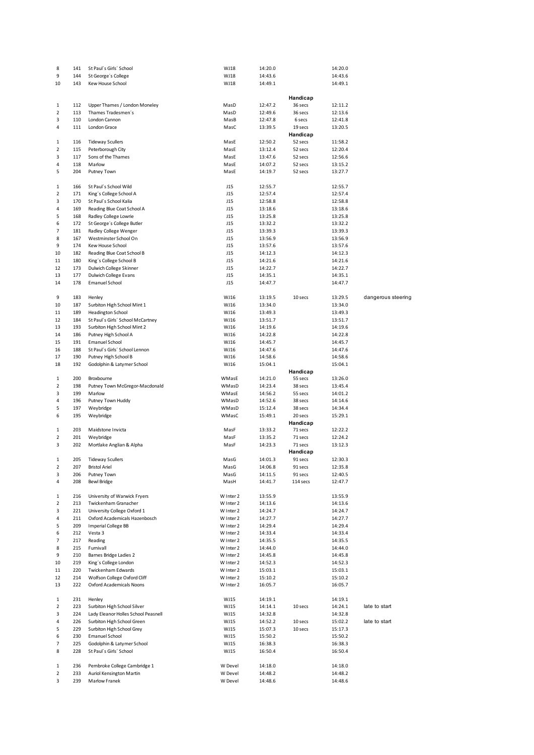| 8            | 141 | St Paul's Girls' School             | WJ18      | 14:20.0 |          | 14:20.0 |                    |
|--------------|-----|-------------------------------------|-----------|---------|----------|---------|--------------------|
| 9            | 144 | St George's College                 | WJ18      | 14:43.6 |          | 14:43.6 |                    |
| 10           | 143 | Kew House School                    | WJ18      | 14:49.1 |          | 14:49.1 |                    |
|              |     |                                     |           |         |          |         |                    |
|              |     |                                     |           |         | Handicap |         |                    |
| 1            | 112 | Upper Thames / London Moneley       | MasD      | 12:47.2 | 36 secs  | 12:11.2 |                    |
| 2            | 113 | Thames Tradesmen's                  | MasD      | 12:49.6 | 36 secs  | 12:13.6 |                    |
| 3            | 110 | London Cannon                       | MasB      | 12:47.8 | 6 secs   | 12:41.8 |                    |
| 4            | 111 | London Grace                        | MasC      | 13:39.5 | 19 secs  | 13:20.5 |                    |
|              |     |                                     |           |         | Handicap |         |                    |
| 1            | 116 | <b>Tideway Scullers</b>             | MasE      | 12:50.2 | 52 secs  | 11:58.2 |                    |
| 2            | 115 | Peterborough City                   | MasE      | 13:12.4 | 52 secs  | 12:20.4 |                    |
| 3            | 117 | Sons of the Thames                  | MasE      | 13:47.6 | 52 secs  | 12:56.6 |                    |
| 4            | 118 | Marlow                              |           | 14:07.2 |          |         |                    |
|              |     |                                     | MasE      | 14:19.7 | 52 secs  | 13:15.2 |                    |
| 5            | 204 | Putney Town                         | MasE      |         | 52 secs  | 13:27.7 |                    |
|              |     |                                     |           |         |          |         |                    |
| 1            | 166 | St Paul's School Wild               | J15       | 12:55.7 |          | 12:55.7 |                    |
| 2            | 171 | King's College School A             | J15       | 12:57.4 |          | 12:57.4 |                    |
| 3            | 170 | St Paul's School Kalia              | J15       | 12:58.8 |          | 12:58.8 |                    |
| 4            | 169 | Reading Blue Coat School A          | J15       | 13:18.6 |          | 13:18.6 |                    |
| 5            | 168 | Radley College Lowrie               | J15       | 13:25.8 |          | 13:25.8 |                    |
| 6            | 172 | St George's College Butler          | J15       | 13:32.2 |          | 13:32.2 |                    |
| 7            | 181 | Radley College Wenger               | J15       | 13:39.3 |          | 13:39.3 |                    |
| 8            | 167 | Westminster School On               | J15       | 13:56.9 |          | 13:56.9 |                    |
| 9            | 174 | Kew House School                    | J15       | 13:57.6 |          | 13:57.6 |                    |
| 10           | 182 | Reading Blue Coat School B          | J15       | 14:12.3 |          | 14:12.3 |                    |
| 11           | 180 | King's College School B             | J15       | 14:21.6 |          | 14:21.6 |                    |
| 12           | 173 | Dulwich College Skinner             | J15       | 14:22.7 |          | 14:22.7 |                    |
| 13           | 177 | Dulwich College Evans               | J15       | 14:35.1 |          | 14:35.1 |                    |
| 14           | 178 | <b>Emanuel School</b>               | J15       | 14:47.7 |          | 14:47.7 |                    |
|              |     |                                     |           |         |          |         |                    |
| 9            |     |                                     | WJ16      |         |          |         | dangerous steering |
|              | 183 | Henley                              |           | 13:19.5 | 10 secs  | 13:29.5 |                    |
| 10           | 187 | Surbiton High School Mint 1         | WJ16      | 13:34.0 |          | 13:34.0 |                    |
| 11           | 189 | <b>Headington School</b>            | WJ16      | 13:49.3 |          | 13:49.3 |                    |
| 12           | 184 | St Paul's Girls' School McCartney   | WJ16      | 13:51.7 |          | 13:51.7 |                    |
| 13           | 193 | Surbiton High School Mint 2         | WJ16      | 14:19.6 |          | 14:19.6 |                    |
| 14           | 186 | Putney High School A                | WJ16      | 14:22.8 |          | 14:22.8 |                    |
| 15           | 191 | <b>Emanuel School</b>               | WJ16      | 14:45.7 |          | 14:45.7 |                    |
| 16           | 188 | St Paul's Girls' School Lennon      | WJ16      | 14:47.6 |          | 14:47.6 |                    |
| 17           | 190 | Putney High School B                | WJ16      | 14:58.6 |          | 14:58.6 |                    |
| 18           | 192 | Godolphin & Latymer School          | WJ16      | 15:04.1 |          | 15:04.1 |                    |
|              |     |                                     |           |         | Handicap |         |                    |
| 1            | 200 | Broxbourne                          | WMasE     | 14:21.0 | 55 secs  | 13:26.0 |                    |
| 2            | 198 | Putney Town McGregor-Macdonald      | WMasD     | 14:23.4 | 38 secs  | 13:45.4 |                    |
| 3            | 199 | Marlow                              | WMasE     | 14:56.2 | 55 secs  | 14:01.2 |                    |
| 4            | 196 | Putney Town Huddy                   | WMasD     | 14:52.6 | 38 secs  | 14:14.6 |                    |
| 5            | 197 | Weybridge                           | WMasD     | 15:12.4 | 38 secs  | 14:34.4 |                    |
| 6            | 195 | Weybridge                           | WMasC     | 15:49.1 | 20 secs  | 15:29.1 |                    |
|              |     |                                     |           |         | Handicap |         |                    |
| 1            | 203 | Maidstone Invicta                   | MasF      | 13:33.2 | 71 secs  | 12:22.2 |                    |
| 2            | 201 | Weybridge                           | MasF      | 13:35.2 | 71 secs  | 12:24.2 |                    |
| 3            | 202 | Mortlake Anglian & Alpha            |           | 14:23.3 |          |         |                    |
|              |     |                                     | MasF      |         | 71 secs  | 13:12.3 |                    |
|              |     |                                     |           |         | Handicap |         |                    |
| 1            | 205 | <b>Tideway Scullers</b>             | MasG      | 14:01.3 | 91 secs  | 12:30.3 |                    |
| 2            | 207 | <b>Bristol Ariel</b>                | MasG      | 14:06.8 | 91 secs  | 12:35.8 |                    |
| 3            | 206 | Putney Town                         | MasG      | 14:11.5 | 91 secs  | 12:40.5 |                    |
| 4            | 208 | <b>Bewl Bridge</b>                  | MasH      | 14:41.7 | 114 secs | 12:47.7 |                    |
|              |     |                                     |           |         |          |         |                    |
| 1            | 216 | University of Warwick Fryers        | W Inter 2 | 13:55.9 |          | 13:55.9 |                    |
| 2            | 213 | Twickenham Granacher                | W Inter 2 | 14:13.6 |          | 14:13.6 |                    |
| 3            | 221 | University College Oxford 1         | W Inter 2 | 14:24.7 |          | 14:24.7 |                    |
| 4            | 211 | Oxford Academicals Hazenbosch       | W Inter 2 | 14:27.7 |          | 14:27.7 |                    |
| 5            | 209 | <b>Imperial College BB</b>          | W Inter 2 | 14:29.4 |          | 14:29.4 |                    |
| 6            | 212 | Vesta 3                             | W Inter 2 | 14:33.4 |          | 14:33.4 |                    |
| 7            | 217 | Reading                             | W Inter 2 | 14:35.5 |          | 14:35.5 |                    |
| 8            | 215 | Furnivall                           | W Inter 2 | 14:44.0 |          | 14:44.0 |                    |
| 9            | 210 | Barnes Bridge Ladies 2              | W Inter 2 | 14:45.8 |          | 14:45.8 |                    |
| 10           | 219 | King's College London               | W Inter 2 | 14:52.3 |          | 14:52.3 |                    |
| 11           | 220 | Twickenham Edwards                  | W Inter 2 | 15:03.1 |          | 15:03.1 |                    |
| 12           | 214 | Wolfson College Oxford Cliff        | W Inter 2 | 15:10.2 |          | 15:10.2 |                    |
|              | 222 | Oxford Academicals Noons            | W Inter 2 | 16:05.7 |          | 16:05.7 |                    |
| 13           |     |                                     |           |         |          |         |                    |
| $\mathbf{1}$ | 231 | Henley                              | WJ15      | 14:19.1 |          | 14:19.1 |                    |
|              |     |                                     |           |         |          |         |                    |
| 2            | 223 | Surbiton High School Silver         | WJ15      | 14:14.1 | 10 secs  | 14:24.1 | late to start      |
| 3            | 224 | Lady Eleanor Holles School Peasnell | WJ15      | 14:32.8 |          | 14:32.8 |                    |
| 4            | 226 | Surbiton High School Green          | WJ15      | 14:52.2 | 10 secs  | 15:02.2 | late to start      |
| 5            | 229 | Surbiton High School Grey           | WJ15      | 15:07.3 | 10 secs  | 15:17.3 |                    |
| 6            | 230 | Emanuel School                      | WJ15      | 15:50.2 |          | 15:50.2 |                    |
| 7            | 225 | Godolphin & Latymer School          | WJ15      | 16:38.3 |          | 16:38.3 |                    |
| 8            | 228 | St Paul's Girls' School             | WJ15      | 16:50.4 |          | 16:50.4 |                    |
|              |     |                                     |           |         |          |         |                    |
| 1            | 236 | Pembroke College Cambridge 1        | W Devel   | 14:18.0 |          | 14:18.0 |                    |
| 2            | 233 | Auriol Kensington Martin            | W Devel   | 14:48.2 |          | 14:48.2 |                    |
| 3            | 239 | Marlow Franek                       | W Devel   | 14:48.6 |          | 14:48.6 |                    |
|              |     |                                     |           |         |          |         |                    |